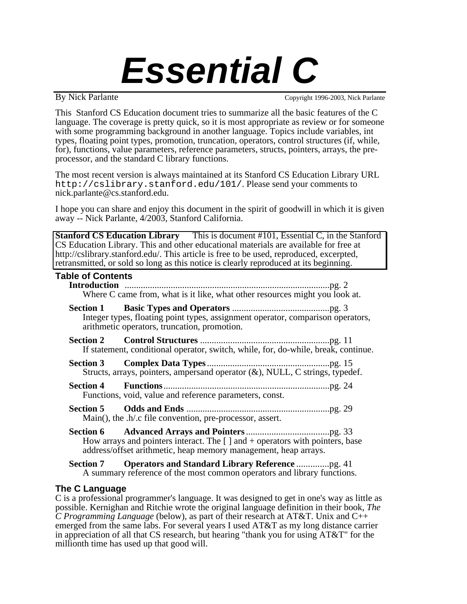# *Essential C*

By Nick Parlante Copyright 1996-2003, Nick Parlante

This Stanford CS Education document tries to summarize all the basic features of the C language. The coverage is pretty quick, so it is most appropriate as review or for someone with some programming background in another language. Topics include variables, int types, floating point types, promotion, truncation, operators, control structures (if, while, for), functions, value parameters, reference parameters, structs, pointers, arrays, the preprocessor, and the standard C library functions.

The most recent version is always maintained at its Stanford CS Education Library URL http://cslibrary.stanford.edu/101/. Please send your comments to nick.parlante@cs.stanford.edu.

I hope you can share and enjoy this document in the spirit of goodwill in which it is given away -- Nick Parlante, 4/2003, Stanford California.

**Stanford CS Education Library** This is document #101, Essential C, in the Stanford CS Education Library. This and other educational materials are available for free at http://cslibrary.stanford.edu/. This article is free to be used, reproduced, excerpted, retransmitted, or sold so long as this notice is clearly reproduced at its beginning.

| <b>Table of Contents</b> |                                                                                                                                                      |  |
|--------------------------|------------------------------------------------------------------------------------------------------------------------------------------------------|--|
|                          | Where C came from, what is it like, what other resources might you look at.                                                                          |  |
|                          | Integer types, floating point types, assignment operator, comparison operators,<br>arithmetic operators, truncation, promotion.                      |  |
|                          | If statement, conditional operator, switch, while, for, do-while, break, continue.                                                                   |  |
|                          | Structs, arrays, pointers, ampersand operator $(x)$ , NULL, C strings, typedef.                                                                      |  |
|                          | Functions, void, value and reference parameters, const.                                                                                              |  |
|                          | Main(), the .h/.c file convention, pre-processor, assert.                                                                                            |  |
|                          | How arrays and pointers interact. The $[ ]$ and $+$ operators with pointers, base<br>address/offset arithmetic, heap memory management, heap arrays. |  |
|                          | $\mathbf{C}_{\text{action}}$ $\mathbf{Z}$ . Operators and $\mathbf{C}_{\text{fending}}$ I ihrow Defension                                            |  |

**Section 7 Operators and Standard Library Reference** ..............pg. 41 A summary reference of the most common operators and library functions.

# **The C Language**

C is a professional programmer's language. It was designed to get in one's way as little as possible. Kernighan and Ritchie wrote the original language definition in their book, *The C Programming Language* (below), as part of their research at AT&T. Unix and C++ emerged from the same labs. For several years I used AT&T as my long distance carrier in appreciation of all that CS research, but hearing "thank you for using AT&T" for the millionth time has used up that good will.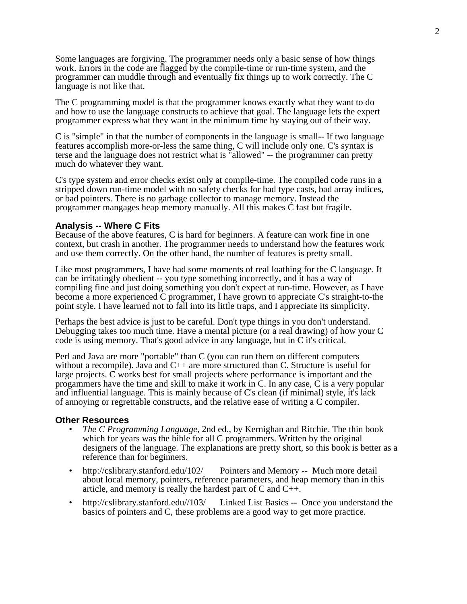Some languages are forgiving. The programmer needs only a basic sense of how things work. Errors in the code are flagged by the compile-time or run-time system, and the programmer can muddle through and eventually fix things up to work correctly. The C language is not like that.

The C programming model is that the programmer knows exactly what they want to do and how to use the language constructs to achieve that goal. The language lets the expert programmer express what they want in the minimum time by staying out of their way.

C is "simple" in that the number of components in the language is small-- If two language features accomplish more-or-less the same thing, C will include only one. C's syntax is terse and the language does not restrict what is "allowed" -- the programmer can pretty much do whatever they want.

C's type system and error checks exist only at compile-time. The compiled code runs in a stripped down run-time model with no safety checks for bad type casts, bad array indices, or bad pointers. There is no garbage collector to manage memory. Instead the programmer mangages heap memory manually. All this makes C fast but fragile.

#### **Analysis -- Where C Fits**

Because of the above features, C is hard for beginners. A feature can work fine in one context, but crash in another. The programmer needs to understand how the features work and use them correctly. On the other hand, the number of features is pretty small.

Like most programmers. I have had some moments of real loathing for the C language. It can be irritatingly obedient -- you type something incorrectly, and it has a way of compiling fine and just doing something you don't expect at run-time. However, as I have become a more experienced C programmer, I have grown to appreciate C's straight-to-the point style. I have learned not to fall into its little traps, and I appreciate its simplicity.

Perhaps the best advice is just to be careful. Don't type things in you don't understand. Debugging takes too much time. Have a mental picture (or a real drawing) of how your C code is using memory. That's good advice in any language, but in C it's critical.

Perl and Java are more "portable" than C (you can run them on different computers without a recompile). Java and  $C_{++}$  are more structured than C. Structure is useful for large projects. C works best for small projects where performance is important and the progammers have the time and skill to make it work in C. In any case,  $\overline{C}$  is a very popular and influential language. This is mainly because of C's clean (if minimal) style, it's lack of annoying or regrettable constructs, and the relative ease of writing a C compiler.

#### **Other Resources**

- *The C Programming Language*, 2nd ed., by Kernighan and Ritchie. The thin book which for years was the bible for all C programmers. Written by the original designers of the language. The explanations are pretty short, so this book is better as a reference than for beginners.
- http://cslibrary.stanford.edu/102/ Pointers and Memory -- Much more detail about local memory, pointers, reference parameters, and heap memory than in this article, and memory is really the hardest part of C and C++.
- http://cslibrary.stanford.edu//103/ Linked List Basics -- Once you understand the basics of pointers and C, these problems are a good way to get more practice.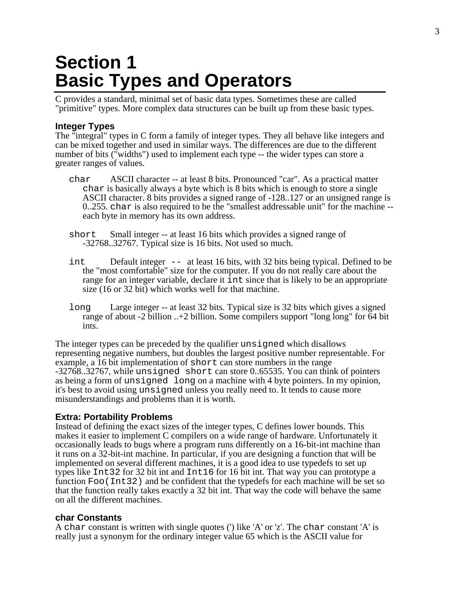# **Section 1 Basic Types and Operators**

C provides a standard, minimal set of basic data types. Sometimes these are called "primitive" types. More complex data structures can be built up from these basic types.

# **Integer Types**

The "integral" types in C form a family of integer types. They all behave like integers and can be mixed together and used in similar ways. The differences are due to the different number of bits ("widths") used to implement each type -- the wider types can store a greater ranges of values.

- char ASCII character -- at least 8 bits. Pronounced "car". As a practical matter char is basically always a byte which is 8 bits which is enough to store a single ASCII character. 8 bits provides a signed range of -128..127 or an unsigned range is 0..255. char is also required to be the "smallest addressable unit" for the machine - each byte in memory has its own address.
- short Small integer -- at least 16 bits which provides a signed range of -32768..32767. Typical size is 16 bits. Not used so much.
- int Default integer -- at least 16 bits, with 32 bits being typical. Defined to be the "most comfortable" size for the computer. If you do not really care about the range for an integer variable, declare it int since that is likely to be an appropriate size (16 or 32 bit) which works well for that machine.
- long Large integer -- at least 32 bits. Typical size is 32 bits which gives a signed range of about -2 billion ..+2 billion. Some compilers support "long long" for 64 bit ints.

The integer types can be preceded by the qualifier unsigned which disallows representing negative numbers, but doubles the largest positive number representable. For example, a 16 bit implementation of short can store numbers in the range -32768..32767, while unsigned short can store 0..65535. You can think of pointers as being a form of unsigned long on a machine with 4 byte pointers. In my opinion, it's best to avoid using unsigned unless you really need to. It tends to cause more misunderstandings and problems than it is worth.

# **Extra: Portability Problems**

Instead of defining the exact sizes of the integer types, C defines lower bounds. This makes it easier to implement C compilers on a wide range of hardware. Unfortunately it occasionally leads to bugs where a program runs differently on a 16-bit-int machine than it runs on a 32-bit-int machine. In particular, if you are designing a function that will be implemented on several different machines, it is a good idea to use typedefs to set up types like Int32 for 32 bit int and Int16 for 16 bit int. That way you can prototype a function Foo(Int32) and be confident that the typedefs for each machine will be set so that the function really takes exactly a 32 bit int. That way the code will behave the same on all the different machines.

# **char Constants**

A char constant is written with single quotes (') like 'A' or 'z'. The char constant 'A' is really just a synonym for the ordinary integer value 65 which is the ASCII value for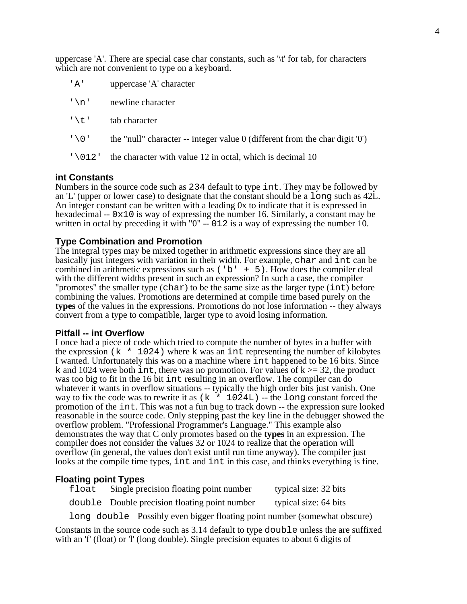uppercase 'A'. There are special case char constants, such as '\t' for tab, for characters which are not convenient to type on a keyboard.

| 'A'              | uppercase 'A' character                                                       |
|------------------|-------------------------------------------------------------------------------|
| $' \n\wedge n'$  | newline character                                                             |
| 「\t」             | tab character                                                                 |
| $' \setminus 0'$ | the "null" character -- integer value $0$ (different from the character $0$ ) |
| '\012'           | the character with value 12 in octal, which is decimal 10                     |

# **int Constants**

Numbers in the source code such as 234 default to type int. They may be followed by an 'L' (upper or lower case) to designate that the constant should be a long such as 42L. An integer constant can be written with a leading 0x to indicate that it is expressed in hexadecimal  $-0 \times 10$  is way of expressing the number 16. Similarly, a constant may be written in octal by preceding it with "0" -- 012 is a way of expressing the number 10.

# **Type Combination and Promotion**

The integral types may be mixed together in arithmetic expressions since they are all basically just integers with variation in their width. For example, char and int can be combined in arithmetic expressions such as  $('b' + 5)$ . How does the compiler deal with the different widths present in such an expression? In such a case, the compiler "promotes" the smaller type (char) to be the same size as the larger type (int) before combining the values. Promotions are determined at compile time based purely on the **types** of the values in the expressions. Promotions do not lose information -- they always convert from a type to compatible, larger type to avoid losing information.

#### **Pitfall -- int Overflow**

I once had a piece of code which tried to compute the number of bytes in a buffer with the expression ( $k \times 1024$ ) where k was an interpresenting the number of kilobytes I wanted. Unfortunately this was on a machine where int happened to be 16 bits. Since k and 1024 were both int, there was no promotion. For values of  $k \ge 32$ , the product was too big to fit in the 16 bit int resulting in an overflow. The compiler can do whatever it wants in overflow situations -- typically the high order bits just vanish. One way to fix the code was to rewrite it as  $(k \times 1024L)$  -- the long constant forced the promotion of the int. This was not a fun bug to track down -- the expression sure looked reasonable in the source code. Only stepping past the key line in the debugger showed the overflow problem. "Professional Programmer's Language." This example also demonstrates the way that C only promotes based on the **types** in an expression. The compiler does not consider the values 32 or 1024 to realize that the operation will overflow (in general, the values don't exist until run time anyway). The compiler just looks at the compile time types, int and int in this case, and thinks everything is fine.

#### **Floating point Types**

| float | Single precision floating point number        | typical size: 32 bits |
|-------|-----------------------------------------------|-----------------------|
|       | double Double precision floating point number | typical size: 64 bits |
|       |                                               |                       |

long double Possibly even bigger floating point number (somewhat obscure)

Constants in the source code such as 3.14 default to type double unless the are suffixed with an 'f' (float) or 'l' (long double). Single precision equates to about 6 digits of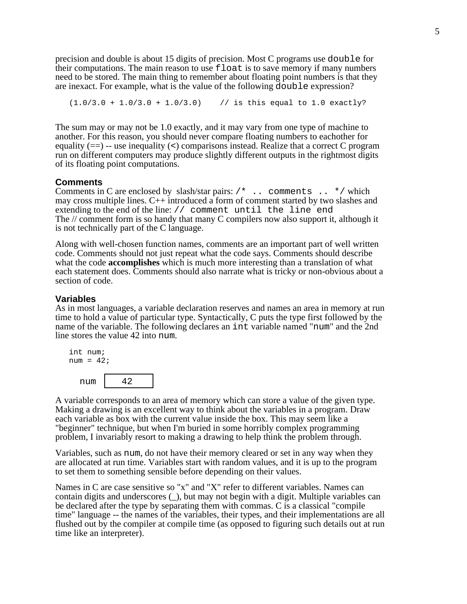precision and double is about 15 digits of precision. Most C programs use double for their computations. The main reason to use float is to save memory if many numbers need to be stored. The main thing to remember about floating point numbers is that they are inexact. For example, what is the value of the following double expression?

 $(1.0/3.0 + 1.0/3.0 + 1.0/3.0)$  // is this equal to 1.0 exactly?

The sum may or may not be 1.0 exactly, and it may vary from one type of machine to another. For this reason, you should never compare floating numbers to eachother for equality  $(==)$  -- use inequality  $(>)$  comparisons instead. Realize that a correct C program run on different computers may produce slightly different outputs in the rightmost digits of its floating point computations.

#### **Comments**

Comments in C are enclosed by slash/star pairs: /\* .. comments .. \*/ which may cross multiple lines. C++ introduced a form of comment started by two slashes and extending to the end of the line: // comment until the line end The // comment form is so handy that many C compilers now also support it, although it is not technically part of the C language.

Along with well-chosen function names, comments are an important part of well written code. Comments should not just repeat what the code says. Comments should describe what the code **accomplishes** which is much more interesting than a translation of what each statement does. Comments should also narrate what is tricky or non-obvious about a section of code.

#### **Variables**

As in most languages, a variable declaration reserves and names an area in memory at run time to hold a value of particular type. Syntactically, C puts the type first followed by the name of the variable. The following declares an int variable named "num" and the 2nd line stores the value 42 into num.



A variable corresponds to an area of memory which can store a value of the given type. Making a drawing is an excellent way to think about the variables in a program. Draw each variable as box with the current value inside the box. This may seem like a "beginner" technique, but when I'm buried in some horribly complex programming problem, I invariably resort to making a drawing to help think the problem through.

Variables, such as num, do not have their memory cleared or set in any way when they are allocated at run time. Variables start with random values, and it is up to the program to set them to something sensible before depending on their values.

Names in C are case sensitive so "x" and "X" refer to different variables. Names can contain digits and underscores (\_), but may not begin with a digit. Multiple variables can be declared after the type by separating them with commas. C is a classical "compile time" language -- the names of the variables, their types, and their implementations are all flushed out by the compiler at compile time (as opposed to figuring such details out at run time like an interpreter).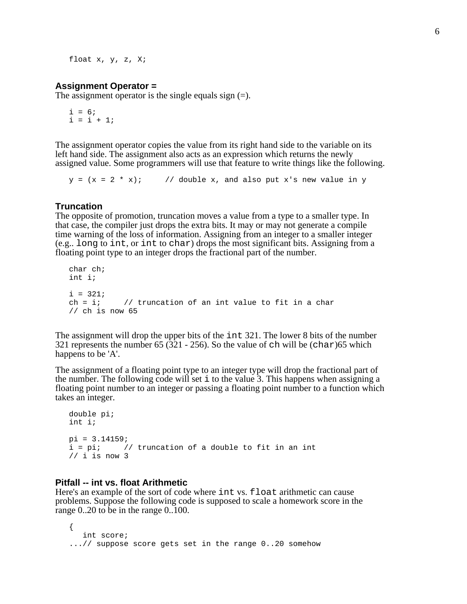float x, y, z, X;

#### **Assignment Operator =**

The assignment operator is the single equals sign  $(=)$ .

 $i = 6;$  $i = i + 1;$ 

The assignment operator copies the value from its right hand side to the variable on its left hand side. The assignment also acts as an expression which returns the newly assigned value. Some programmers will use that feature to write things like the following.

 $y = (x = 2 * x);$  // double x, and also put x's new value in y

#### **Truncation**

The opposite of promotion, truncation moves a value from a type to a smaller type. In that case, the compiler just drops the extra bits. It may or may not generate a compile time warning of the loss of information. Assigning from an integer to a smaller integer (e.g.. long to int, or int to char) drops the most significant bits. Assigning from a floating point type to an integer drops the fractional part of the number.

```
char ch;
int i;
i = 321;<br>ch = i;
              \frac{1}{2} truncation of an int value to fit in a char
// ch is now 65
```
The assignment will drop the upper bits of the int 321. The lower 8 bits of the number 321 represents the number 65 ( $\overline{321}$  - 256). So the value of ch will be (char)65 which happens to be 'A'.

The assignment of a floating point type to an integer type will drop the fractional part of the number. The following code will set i to the value 3. This happens when assigning a floating point number to an integer or passing a floating point number to a function which takes an integer.

```
double pi;
int i;
pi = 3.14159;i = pi; // truncation of a double to fit in an int
// i is now 3
```
#### **Pitfall -- int vs. float Arithmetic**

Here's an example of the sort of code where int vs. float arithmetic can cause problems. Suppose the following code is supposed to scale a homework score in the range 0..20 to be in the range 0..100.

```
{
  int score;
...// suppose score gets set in the range 0..20 somehow
```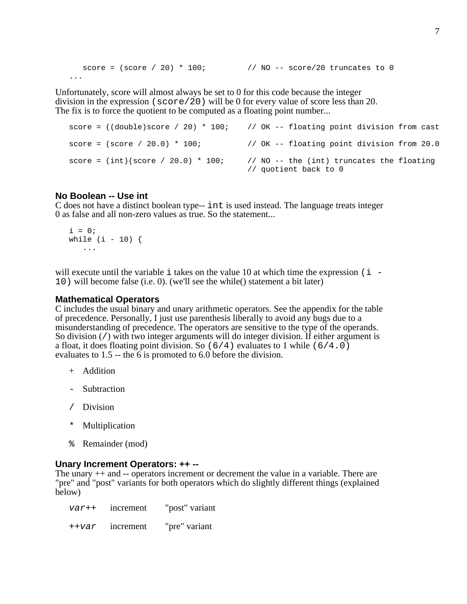```
score = (\text{score} / 20) * 100; // NO -- score/20 truncates to 0...
```
Unfortunately, score will almost always be set to 0 for this code because the integer division in the expression ( $score/20$ ) will be 0 for every value of score less than 20. The fix is to force the quotient to be computed as a floating point number...

```
score = ((double) score / 20) * 100; // OK -- floating point division from cast
score = (\text{score} / 20.0) * 100; \frac{1}{\sqrt{X}} OK -- floating point division from 20.0
score = (int)(score / 20.0) * 100; // NO -- the (int) truncates the floating
                                        // quotient back to 0
```
# **No Boolean -- Use int**

C does not have a distinct boolean type-- int is used instead. The language treats integer 0 as false and all non-zero values as true. So the statement...

 $i = 0;$ while  $(i - 10)$  { ...

will execute until the variable  $\pm$  takes on the value 10 at which time the expression ( $\pm$  -10) will become false (i.e. 0). (we'll see the while() statement a bit later)

#### **Mathematical Operators**

C includes the usual binary and unary arithmetic operators. See the appendix for the table of precedence. Personally, I just use parenthesis liberally to avoid any bugs due to a misunderstanding of precedence. The operators are sensitive to the type of the operands. So division (/) with two integer arguments will do integer division. If either argument is a float, it does floating point division. So  $(6/4)$  evaluates to 1 while  $(6/4.0)$ evaluates to  $1.5$  -- the 6 is promoted to 6.0 before the division.

- + Addition
- Subtraction
- / Division
- \* Multiplication
- % Remainder (mod)

#### **Unary Increment Operators: ++ --**

The unary ++ and -- operators increment or decrement the value in a variable. There are "pre" and "post" variants for both operators which do slightly different things (explained below)

| var++ | mcrement  | "post" variant |
|-------|-----------|----------------|
| ++var | increment | "pre" variant  |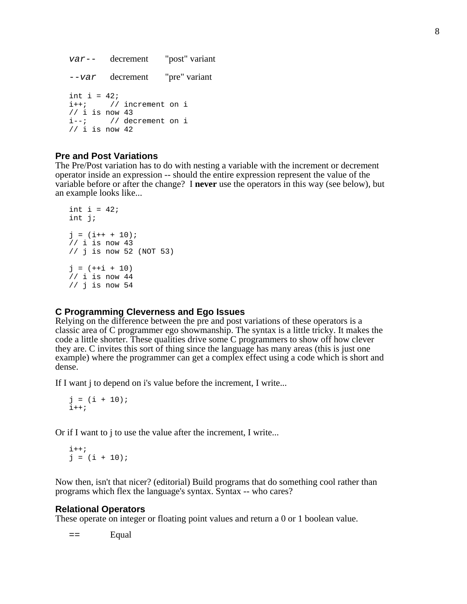```
var-- decrement "post" variant
--var decrement "pre" variant
int i = 42;
i++; // increment on i
// i is now 43
i--; // decrement on i
// i is now 42
```
# **Pre and Post Variations**

The Pre/Post variation has to do with nesting a variable with the increment or decrement operator inside an expression -- should the entire expression represent the value of the variable before or after the change? I **never** use the operators in this way (see below), but an example looks like...

```
int i = 42;
int j;
j = (i++ + 10);// i is now 43
// j is now 52 (NOT 53)
j = (++i + 10)// i is now 44
// j is now 54
```
#### **C Programming Cleverness and Ego Issues**

Relying on the difference between the pre and post variations of these operators is a classic area of C programmer ego showmanship. The syntax is a little tricky. It makes the code a little shorter. These qualities drive some C programmers to show off how clever they are. C invites this sort of thing since the language has many areas (this is just one example) where the programmer can get a complex effect using a code which is short and dense.

If I want j to depend on i's value before the increment, I write...

```
j = (i + 10);
i++;
```
Or if I want to j to use the value after the increment, I write...

```
i++;j = (i + 10);
```
Now then, isn't that nicer? (editorial) Build programs that do something cool rather than programs which flex the language's syntax. Syntax -- who cares?

#### **Relational Operators**

These operate on integer or floating point values and return a 0 or 1 boolean value.

 $=-$  Equal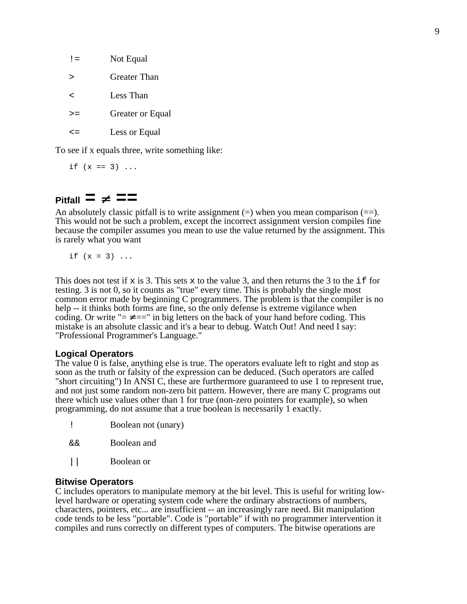| $!=$ | Not Equal        |
|------|------------------|
| ↘    | Greater Than     |
| ╯    | Less Than        |
| >=   | Greater or Equal |
| < =  | Less or Equal    |

To see if x equals three, write something like:

if  $(x == 3) ...$ 

# $P$ **itfall**  $\equiv \neq \equiv \equiv$

An absolutely classic pitfall is to write assignment  $(=)$  when you mean comparison  $(==)$ . This would not be such a problem, except the incorrect assignment version compiles fine because the compiler assumes you mean to use the value returned by the assignment. This is rarely what you want

if  $(x = 3)$  ...

This does not test if  $x$  is 3. This sets  $x$  to the value 3, and then returns the 3 to the if for testing. 3 is not 0, so it counts as "true" every time. This is probably the single most common error made by beginning C programmers. The problem is that the compiler is no help -- it thinks both forms are fine, so the only defense is extreme vigilance when coding. Or write " $=$   $=$ " in big letters on the back of your hand before coding. This mistake is an absolute classic and it's a bear to debug. Watch Out! And need I say: "Professional Programmer's Language."

# **Logical Operators**

The value 0 is false, anything else is true. The operators evaluate left to right and stop as soon as the truth or falsity of the expression can be deduced. (Such operators are called "short circuiting") In ANSI C, these are furthermore guaranteed to use 1 to represent true, and not just some random non-zero bit pattern. However, there are many C programs out there which use values other than 1 for true (non-zero pointers for example), so when programming, do not assume that a true boolean is necessarily 1 exactly.

|    | Boolean not (unary) |  |
|----|---------------------|--|
| && | Boolean and         |  |

- 
- || Boolean or

# **Bitwise Operators**

C includes operators to manipulate memory at the bit level. This is useful for writing lowlevel hardware or operating system code where the ordinary abstractions of numbers, characters, pointers, etc... are insufficient -- an increasingly rare need. Bit manipulation code tends to be less "portable". Code is "portable" if with no programmer intervention it compiles and runs correctly on different types of computers. The bitwise operations are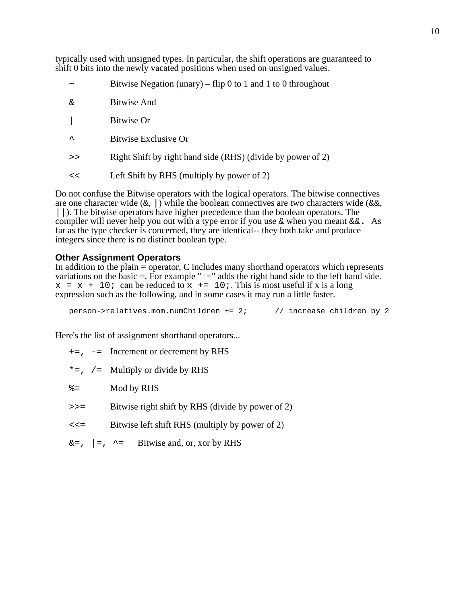typically used with unsigned types. In particular, the shift operations are guaranteed to shift 0 bits into the newly vacated positions when used on unsigned values.

- $\sim$  Bitwise Negation (unary) flip 0 to 1 and 1 to 0 throughout
- & Bitwise And
- | Bitwise Or
- ^ Bitwise Exclusive Or
- >> Right Shift by right hand side (RHS) (divide by power of 2)
- << Left Shift by RHS (multiply by power of 2)

Do not confuse the Bitwise operators with the logical operators. The bitwise connectives are one character wide  $(\&, |)$  while the boolean connectives are two characters wide ( $\&\&$ , ||). The bitwise operators have higher precedence than the boolean operators. The compiler will never help you out with a type error if you use  $\&$  when you meant  $&\&$ . As far as the type checker is concerned, they are identical-- they both take and produce integers since there is no distinct boolean type.

# **Other Assignment Operators**

In addition to the plain = operator, C includes many shorthand operators which represents variations on the basic  $=$ . For example " $+$ =" adds the right hand side to the left hand side.  $x = x + 10$ ; can be reduced to  $x \leftarrow 10$ ; This is most useful if x is a long expression such as the following, and in some cases it may run a little faster.

person->relatives.mom.numChildren += 2; // increase children by 2

Here's the list of assignment shorthand operators...

- $+=, -=$  Increment or decrement by RHS
- $* =$ , /= Multiply or divide by RHS
- %= Mod by RHS >>= Bitwise right shift by RHS (divide by power of 2) <<= Bitwise left shift RHS (multiply by power of 2)  $\&=$ ,  $\vert =$ ,  $\uparrow =$  Bitwise and, or, xor by RHS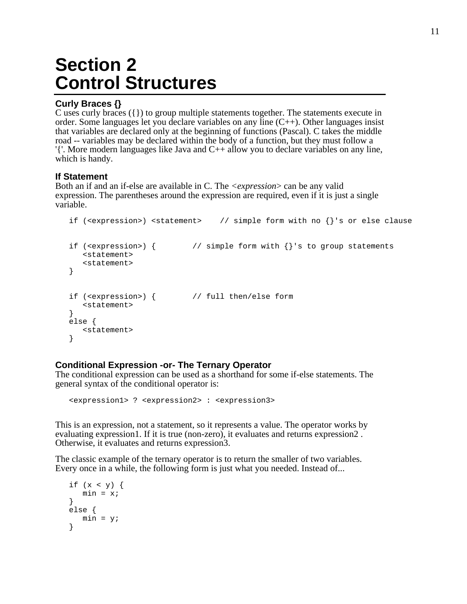# **Section 2 Control Structures**

# **Curly Braces {}**

C uses curly braces ({}) to group multiple statements together. The statements execute in order. Some languages let you declare variables on any line (C++). Other languages insist that variables are declared only at the beginning of functions (Pascal). C takes the middle road -- variables may be declared within the body of a function, but they must follow a '{'. More modern languages like Java and C++ allow you to declare variables on any line, which is handy.

# **If Statement**

Both an if and an if-else are available in C. The *<expression*> can be any valid expression. The parentheses around the expression are required, even if it is just a single variable.

```
if (<expression>) <statement> // simple form with no {}'s or else clause
if (<expression>) { // simple form with {}'s to group statements
  <statement>
  <statement>
}
if (<expression>) { // full then/else form
  <statement>
}
else {
  <statement>
}
```
# **Conditional Expression -or- The Ternary Operator**

The conditional expression can be used as a shorthand for some if-else statements. The general syntax of the conditional operator is:

<expression1> ? <expression2> : <expression3>

This is an expression, not a statement, so it represents a value. The operator works by evaluating expression1. If it is true (non-zero), it evaluates and returns expression2. Otherwise, it evaluates and returns expression3.

The classic example of the ternary operator is to return the smaller of two variables. Every once in a while, the following form is just what you needed. Instead of...

```
if (x < y) {
  min = x;}
else {
  min = y;
}
```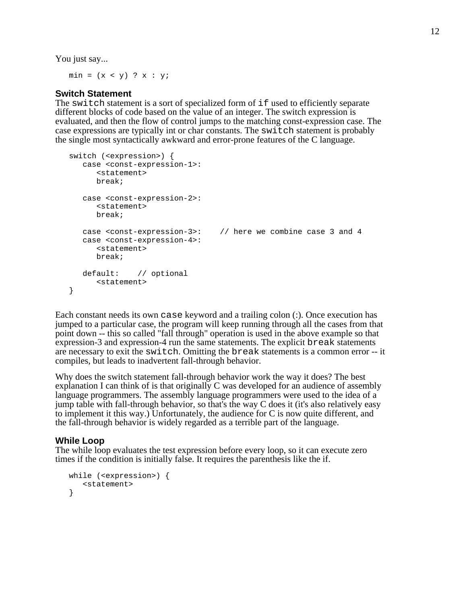You just say...

 $min = (x < y)$  ?  $x : y$ ;

# **Switch Statement**

The switch statement is a sort of specialized form of if used to efficiently separate different blocks of code based on the value of an integer. The switch expression is evaluated, and then the flow of control jumps to the matching const-expression case. The case expressions are typically int or char constants. The switch statement is probably the single most syntactically awkward and error-prone features of the C language.

```
switch (<expression>) {
  case <const-expression-1>:
      <statement>
     break;
   case <const-expression-2>:
     <statement>
     break;
  case <const-expression-3>: // here we combine case 3 and 4
   case <const-expression-4>:
     <statement>
     break;
  default: // optional
     <statement>
}
```
Each constant needs its own case keyword and a trailing colon (:). Once execution has jumped to a particular case, the program will keep running through all the cases from that point down -- this so called "fall through" operation is used in the above example so that expression-3 and expression-4 run the same statements. The explicit break statements are necessary to exit the switch. Omitting the break statements is a common error -- it compiles, but leads to inadvertent fall-through behavior.

Why does the switch statement fall-through behavior work the way it does? The best explanation I can think of is that originally C was developed for an audience of assembly language programmers. The assembly language programmers were used to the idea of a jump table with fall-through behavior, so that's the way C does it (it's also relatively easy to implement it this way.) Unfortunately, the audience for C is now quite different, and the fall-through behavior is widely regarded as a terrible part of the language.

#### **While Loop**

The while loop evaluates the test expression before every loop, so it can execute zero times if the condition is initially false. It requires the parenthesis like the if.

```
while (<expression>) {
  <statement>
}
```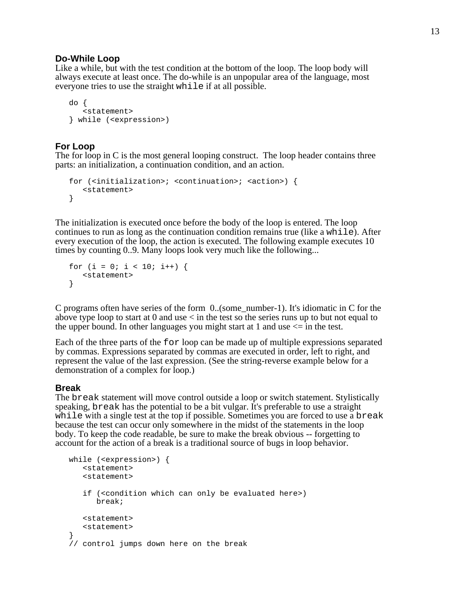#### **Do-While Loop**

Like a while, but with the test condition at the bottom of the loop. The loop body will always execute at least once. The do-while is an unpopular area of the language, most everyone tries to use the straight while if at all possible.

```
do {
   <statement>
} while (<expression>)
```
# **For Loop**

The for loop in C is the most general looping construct. The loop header contains three parts: an initialization, a continuation condition, and an action.

```
for (<initialization>; <continuation>; <action>) {
   <statement>
}
```
The initialization is executed once before the body of the loop is entered. The loop continues to run as long as the continuation condition remains true (like a while). After every execution of the loop, the action is executed. The following example executes 10 times by counting 0..9. Many loops look very much like the following...

```
for (i = 0; i < 10; i++) {
  <statement>
}
```
C programs often have series of the form 0..(some\_number-1). It's idiomatic in C for the above type loop to start at 0 and use  $\lt$  in the test so the series runs up to but not equal to the upper bound. In other languages you might start at 1 and use  $\leq$  in the test.

Each of the three parts of the for loop can be made up of multiple expressions separated by commas. Expressions separated by commas are executed in order, left to right, and represent the value of the last expression. (See the string-reverse example below for a demonstration of a complex for loop.)

#### **Break**

The break statement will move control outside a loop or switch statement. Stylistically speaking, break has the potential to be a bit vulgar. It's preferable to use a straight while with a single test at the top if possible. Sometimes you are forced to use a break because the test can occur only somewhere in the midst of the statements in the loop body. To keep the code readable, be sure to make the break obvious -- forgetting to account for the action of a break is a traditional source of bugs in loop behavior.

```
while (<expression>) {
  <statement>
   <statement>
   if (<condition which can only be evaluated here>)
      break;
   <statement>
   <statement>
}
// control jumps down here on the break
```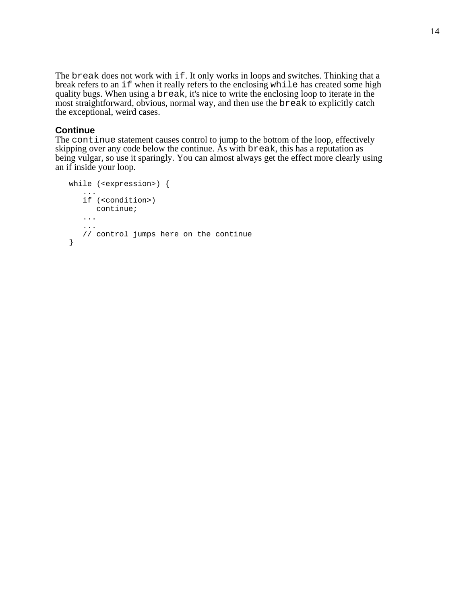The break does not work with if. It only works in loops and switches. Thinking that a break refers to an if when it really refers to the enclosing while has created some high quality bugs. When using a break, it's nice to write the enclosing loop to iterate in the most straightforward, obvious, normal way, and then use the break to explicitly catch the exceptional, weird cases.

# **Continue**

The continue statement causes control to jump to the bottom of the loop, effectively skipping over any code below the continue. As with break, this has a reputation as being vulgar, so use it sparingly. You can almost always get the effect more clearly using an if inside your loop.

```
while (<expression>) {
   ...
   if (<condition>)
     continue;
   ...
   ...
   // control jumps here on the continue
}
```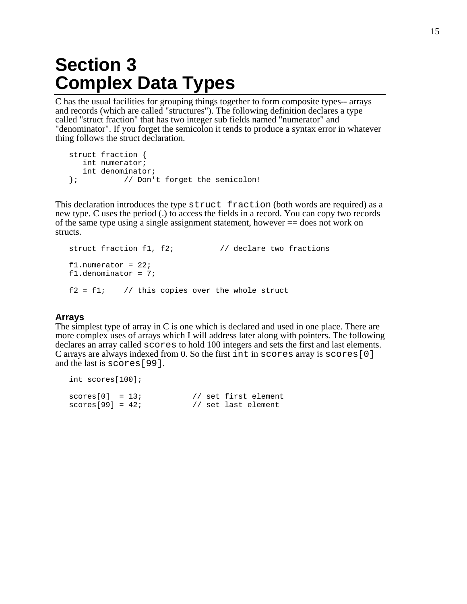# **Section 3 Complex Data Types**

C has the usual facilities for grouping things together to form composite types-- arrays and records (which are called "structures"). The following definition declares a type called "struct fraction" that has two integer sub fields named "numerator" and "denominator". If you forget the semicolon it tends to produce a syntax error in whatever thing follows the struct declaration.

```
struct fraction {
  int numerator;
  int denominator;
}; // Don't forget the semicolon!
```
This declaration introduces the type struct fraction (both words are required) as a new type. C uses the period (.) to access the fields in a record. You can copy two records of the same type using a single assignment statement, however == does not work on structs.

```
struct fraction f1, f2; \frac{1}{2} // declare two fractions
f1.numerator = 22;
f1.denominator = 7;
f2 = f1; // this copies over the whole struct
```
# **Arrays**

The simplest type of array in C is one which is declared and used in one place. There are more complex uses of arrays which I will address later along with pointers. The following declares an array called scores to hold 100 integers and sets the first and last elements. C arrays are always indexed from 0. So the first int in scores array is scores[0] and the last is scores[99].

```
int scores[100];
scores[0] = 13; // set first element
scores[99] = 42; // set last element
```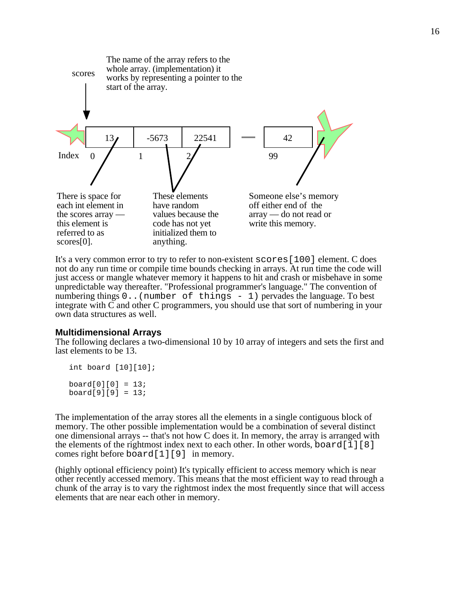

It's a very common error to try to refer to non-existent scores[100] element. C does not do any run time or compile time bounds checking in arrays. At run time the code will just access or mangle whatever memory it happens to hit and crash or misbehave in some unpredictable way thereafter. "Professional programmer's language." The convention of numbering things  $0 \ldots$  (number of things  $-1$ ) pervades the language. To best integrate with C and other C programmers, you should use that sort of numbering in your own data structures as well.

#### **Multidimensional Arrays**

The following declares a two-dimensional 10 by 10 array of integers and sets the first and last elements to be 13.

```
int board [10][10];
board[0][0] = 13;board[9][9] = 13;
```
The implementation of the array stores all the elements in a single contiguous block of memory. The other possible implementation would be a combination of several distinct one dimensional arrays -- that's not how C does it. In memory, the array is arranged with the elements of the rightmost index next to each other. In other words, board [1][8] comes right before board[1][9] in memory.

(highly optional efficiency point) It's typically efficient to access memory which is near other recently accessed memory. This means that the most efficient way to read through a chunk of the array is to vary the rightmost index the most frequently since that will access elements that are near each other in memory.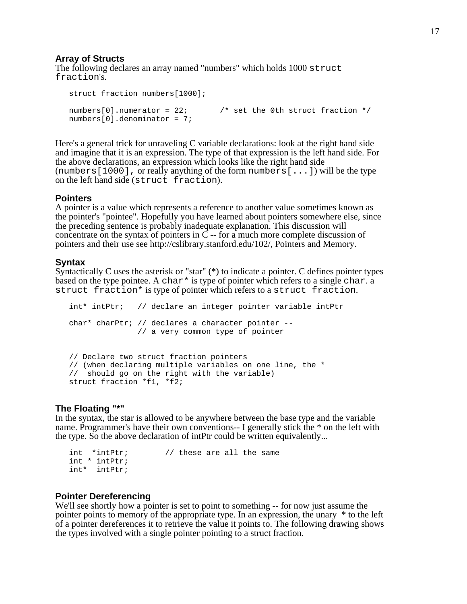# **Array of Structs**

The following declares an array named "numbers" which holds 1000 struct fraction's.

```
struct fraction numbers[1000];
numbers[0].numerator = 22; \frac{1}{2} /* set the 0th struct fraction */
numbers[0].denominator = 7;
```
Here's a general trick for unraveling C variable declarations: look at the right hand side and imagine that it is an expression. The type of that expression is the left hand side. For the above declarations, an expression which looks like the right hand side (numbers  $[1000]$ , or really anything of the form numbers  $[...]$ ) will be the type on the left hand side (struct fraction).

#### **Pointers**

A pointer is a value which represents a reference to another value sometimes known as the pointer's "pointee". Hopefully you have learned about pointers somewhere else, since the preceding sentence is probably inadequate explanation. This discussion will concentrate on the syntax of pointers in C -- for a much more complete discussion of pointers and their use see http://cslibrary.stanford.edu/102/, Pointers and Memory.

#### **Syntax**

Syntactically C uses the asterisk or "star" (\*) to indicate a pointer. C defines pointer types based on the type pointee. A char<sup>\*</sup> is type of pointer which refers to a single char. a struct fraction\* is type of pointer which refers to a struct fraction.

```
int* intPtr; // declare an integer pointer variable intPtr
char* charPtr; // declares a character pointer --
               // a very common type of pointer
// Declare two struct fraction pointers
// (when declaring multiple variables on one line, the *
// should go on the right with the variable)
struct fraction *f1, *f2;
```
# **The Floating "\*"**

In the syntax, the star is allowed to be anywhere between the base type and the variable name. Programmer's have their own conventions-- I generally stick the \* on the left with the type. So the above declaration of intPtr could be written equivalently...

```
int *intPtr; // these are all the same
int * intPtr;
int* intPtr;
```
# **Pointer Dereferencing**

We'll see shortly how a pointer is set to point to something -- for now just assume the pointer points to memory of the appropriate type. In an expression, the unary \* to the left of a pointer dereferences it to retrieve the value it points to. The following drawing shows the types involved with a single pointer pointing to a struct fraction.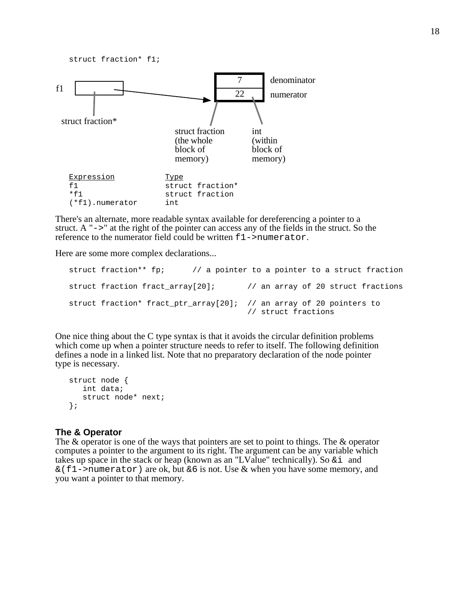struct fraction\* f1;



There's an alternate, more readable syntax available for dereferencing a pointer to a struct. A "->" at the right of the pointer can access any of the fields in the struct. So the reference to the numerator field could be written f1->numerator.

Here are some more complex declarations...

```
struct fraction** fp; \frac{1}{2} // a pointer to a pointer to a struct fraction
struct fraction fract_array[20]; // an array of 20 struct fractions
struct fraction* fract_ptr_array[20]; // an array of 20 pointers to
                                       // struct fractions
```
One nice thing about the C type syntax is that it avoids the circular definition problems which come up when a pointer structure needs to refer to itself. The following definition defines a node in a linked list. Note that no preparatory declaration of the node pointer type is necessary.

```
struct node {
   int data;
   struct node* next;
};
```
#### **The & Operator**

The & operator is one of the ways that pointers are set to point to things. The & operator computes a pointer to the argument to its right. The argument can be any variable which takes up space in the stack or heap (known as an "LValue" technically). So  $\&\text{i}$  and  $\&$  (f1->numerator) are ok, but  $&6$  is not. Use & when you have some memory, and you want a pointer to that memory.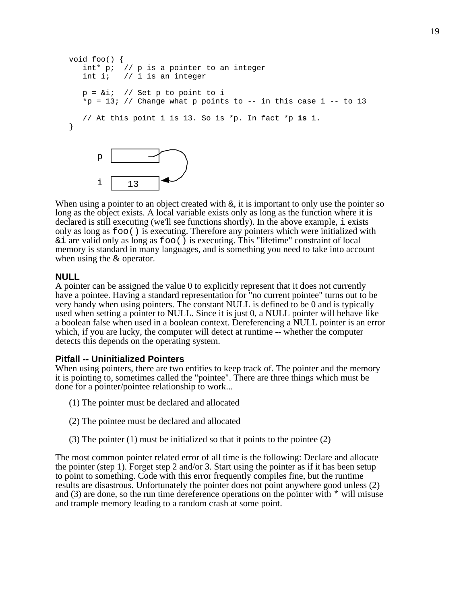```
void foo() {
   int* p; // p is a pointer to an integer
   int i; // i is an integer
   p = &i; // Set p to point to i
   *p = 13; // Change what p points to -- in this case i -- to 13
   // At this point i is 13. So is *p. In fact *p is i.
}
      p
```
When using a pointer to an object created with  $\epsilon$ , it is important to only use the pointer so long as the object exists. A local variable exists only as long as the function where it is declared is still executing (we'll see functions shortly). In the above example, i exists only as long as foo() is executing. Therefore any pointers which were initialized with  $\&$  i are valid only as long as  $f \circ \circ$  () is executing. This "lifetime" constraint of local memory is standard in many languages, and is something you need to take into account when using the & operator.

### **NULL**

A pointer can be assigned the value 0 to explicitly represent that it does not currently have a pointee. Having a standard representation for "no current pointee" turns out to be very handy when using pointers. The constant NULL is defined to be 0 and is typically used when setting a pointer to NULL. Since it is just 0, a NULL pointer will behave like a boolean false when used in a boolean context. Dereferencing a NULL pointer is an error which, if you are lucky, the computer will detect at runtime -- whether the computer detects this depends on the operating system.

#### **Pitfall -- Uninitialized Pointers**

i 13

When using pointers, there are two entities to keep track of. The pointer and the memory it is pointing to, sometimes called the "pointee". There are three things which must be done for a pointer/pointee relationship to work...

- (1) The pointer must be declared and allocated
- (2) The pointee must be declared and allocated
- (3) The pointer (1) must be initialized so that it points to the pointee (2)

The most common pointer related error of all time is the following: Declare and allocate the pointer (step 1). Forget step 2 and/or 3. Start using the pointer as if it has been setup to point to something. Code with this error frequently compiles fine, but the runtime results are disastrous. Unfortunately the pointer does not point anywhere good unless (2) and (3) are done, so the run time dereference operations on the pointer with \* will misuse and trample memory leading to a random crash at some point.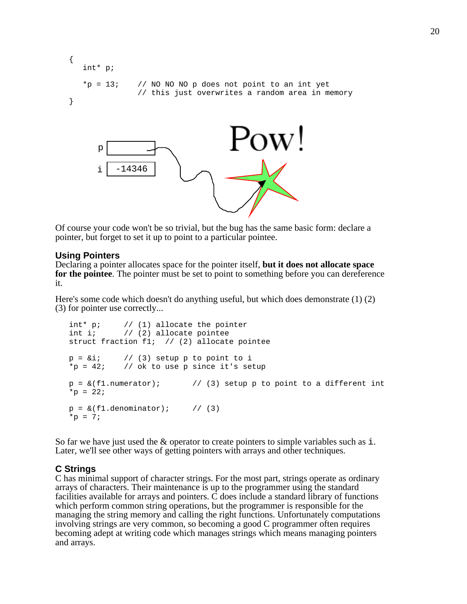```
{
   int* p;
   *p = 13; // NO NO NO p does not point to an int yet
               // this just overwrites a random area in memory
}
                                        2OW \overline{ }p
           -14346
      i
```
Of course your code won't be so trivial, but the bug has the same basic form: declare a pointer, but forget to set it up to point to a particular pointee.

#### **Using Pointers**

Declaring a pointer allocates space for the pointer itself, **but it does not allocate space for the pointee**. The pointer must be set to point to something before you can dereference it.

Here's some code which doesn't do anything useful, but which does demonstrate (1) (2) (3) for pointer use correctly...

```
int* p; // (1) allocate the pointer
int i; \frac{1}{2} (2) allocate pointee
struct fraction f1; // (2) allocate pointee
p = \&i; // (3) setup p to point to i
*p = 42; // ok to use p since it's setup
p = \&(f1.numerator); // (3) setup p to point to a different int
*_{p} = 22;
p = \&(f1.denominator); // (3)
*_{D} = 7;
```
So far we have just used the  $\&$  operator to create pointers to simple variables such as i. Later, we'll see other ways of getting pointers with arrays and other techniques.

# **C Strings**

C has minimal support of character strings. For the most part, strings operate as ordinary arrays of characters. Their maintenance is up to the programmer using the standard facilities available for arrays and pointers. C does include a standard library of functions which perform common string operations, but the programmer is responsible for the managing the string memory and calling the right functions. Unfortunately computations involving strings are very common, so becoming a good C programmer often requires becoming adept at writing code which manages strings which means managing pointers and arrays.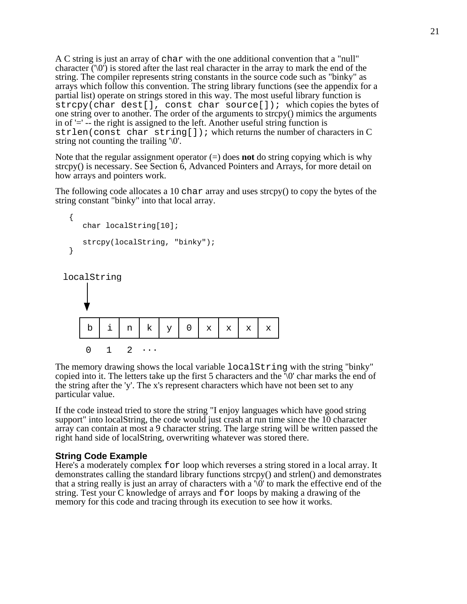A C string is just an array of char with the one additional convention that a "null" character ('\0') is stored after the last real character in the array to mark the end of the string. The compiler represents string constants in the source code such as "binky" as arrays which follow this convention. The string library functions (see the appendix for a partial list) operate on strings stored in this way. The most useful library function is strcpy(char dest[], const char source[]); which copies the bytes of one string over to another. The order of the arguments to strcpy() mimics the arguments in of '=' -- the right is assigned to the left. Another useful string function is strlen(const char string[]); which returns the number of characters in C string not counting the trailing  $\sqrt{0}$ .

Note that the regular assignment operator (=) does **not** do string copying which is why strcpy() is necessary. See Section 6, Advanced Pointers and Arrays, for more detail on how arrays and pointers work.

The following code allocates a 10 char array and uses strcpy() to copy the bytes of the string constant "binky" into that local array.

```
{
   char localString[10];
   strcpy(localString, "binky");
}
```

```
localString
```


The memory drawing shows the local variable localString with the string "binky" copied into it. The letters take up the first 5 characters and the '\0' char marks the end of the string after the 'y'. The x's represent characters which have not been set to any particular value.

If the code instead tried to store the string "I enjoy languages which have good string support" into localString, the code would just crash at run time since the 10 character array can contain at most a 9 character string. The large string will be written passed the right hand side of localString, overwriting whatever was stored there.

# **String Code Example**

Here's a moderately complex for loop which reverses a string stored in a local array. It demonstrates calling the standard library functions strcpy() and strlen() and demonstrates that a string really is just an array of characters with a '\0' to mark the effective end of the string. Test your C knowledge of arrays and for loops by making a drawing of the memory for this code and tracing through its execution to see how it works.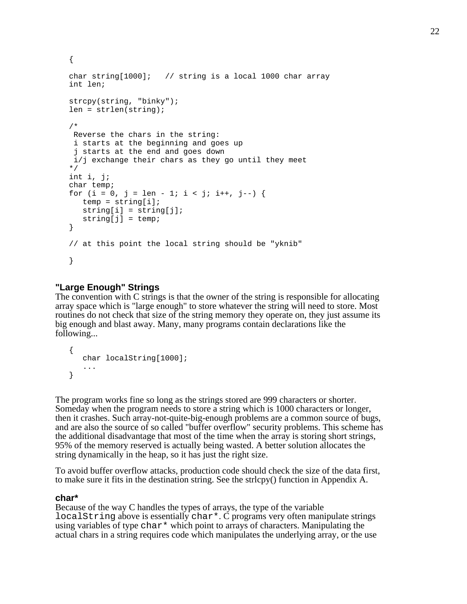```
{
char string[1000]; // string is a local 1000 char array
int len;
strcpy(string, "binky");
len = strlen(string);
/*
 Reverse the chars in the string:
  i starts at the beginning and goes up
  j starts at the end and goes down
 i/j exchange their chars as they go until they meet
*/
int i, j;
char temp;
for (i = 0, j = len - 1; i < j; i++, j--) {
  temp = string[i];string[i] = string[j];string[j] = temp;}
// at this point the local string should be "yknib"
}
```
# **"Large Enough" Strings**

The convention with C strings is that the owner of the string is responsible for allocating array space which is "large enough" to store whatever the string will need to store. Most routines do not check that size of the string memory they operate on, they just assume its big enough and blast away. Many, many programs contain declarations like the following...

```
{
   char localString[1000];
   ...
}
```
The program works fine so long as the strings stored are 999 characters or shorter. Someday when the program needs to store a string which is 1000 characters or longer, then it crashes. Such array-not-quite-big-enough problems are a common source of bugs, and are also the source of so called "buffer overflow" security problems. This scheme has the additional disadvantage that most of the time when the array is storing short strings, 95% of the memory reserved is actually being wasted. A better solution allocates the string dynamically in the heap, so it has just the right size.

To avoid buffer overflow attacks, production code should check the size of the data first, to make sure it fits in the destination string. See the strlcpy() function in Appendix A.

#### **char\***

Because of the way C handles the types of arrays, the type of the variable localString above is essentially char\*. C programs very often manipulate strings using variables of type  $char*$  which point to arrays of characters. Manipulating the actual chars in a string requires code which manipulates the underlying array, or the use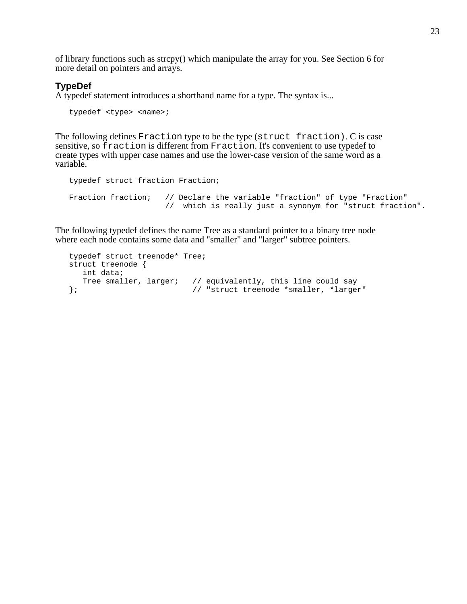of library functions such as strcpy() which manipulate the array for you. See Section 6 for more detail on pointers and arrays.

# **TypeDef**

A typedef statement introduces a shorthand name for a type. The syntax is...

```
typedef <type> <name>;
```
The following defines Fraction type to be the type (struct fraction). C is case sensitive, so fraction is different from Fraction. It's convenient to use typedef to create types with upper case names and use the lower-case version of the same word as a variable.

```
typedef struct fraction Fraction;
Fraction fraction; // Declare the variable "fraction" of type "Fraction"
                    // which is really just a synonym for "struct fraction".
```
The following typedef defines the name Tree as a standard pointer to a binary tree node where each node contains some data and "smaller" and "larger" subtree pointers.

```
typedef struct treenode* Tree;
struct treenode {
  int data;
  Tree smaller, larger; // equivalently, this line could say
}; // "struct treenode *smaller, *larger"
```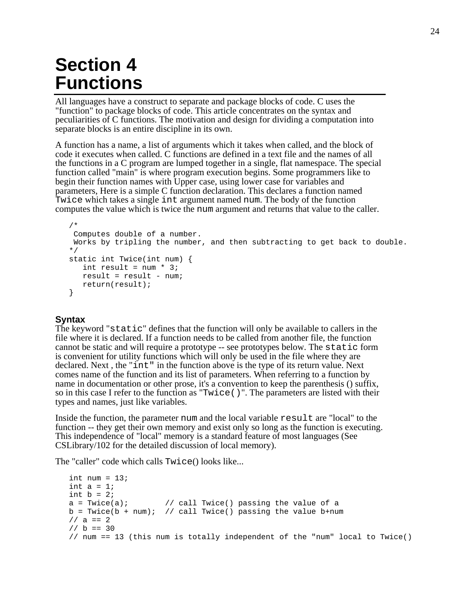# **Section 4 Functions**

All languages have a construct to separate and package blocks of code. C uses the "function" to package blocks of code. This article concentrates on the syntax and peculiarities of C functions. The motivation and design for dividing a computation into separate blocks is an entire discipline in its own.

A function has a name, a list of arguments which it takes when called, and the block of code it executes when called. C functions are defined in a text file and the names of all the functions in a C program are lumped together in a single, flat namespace. The special function called "main" is where program execution begins. Some programmers like to begin their function names with Upper case, using lower case for variables and parameters, Here is a simple C function declaration. This declares a function named Twice which takes a single int argument named num. The body of the function computes the value which is twice the num argument and returns that value to the caller.

```
/*
 Computes double of a number.
 Works by tripling the number, and then subtracting to get back to double.
*/
static int Twice(int num) {
  int result = num * 3;
  result = result - num;
  return(result);
}
```
# **Syntax**

The keyword "static" defines that the function will only be available to callers in the file where it is declared. If a function needs to be called from another file, the function cannot be static and will require a prototype -- see prototypes below. The static form is convenient for utility functions which will only be used in the file where they are declared. Next , the "int" in the function above is the type of its return value. Next comes name of the function and its list of parameters. When referring to a function by name in documentation or other prose, it's a convention to keep the parenthesis () suffix, so in this case I refer to the function as "Twice()". The parameters are listed with their types and names, just like variables.

Inside the function, the parameter num and the local variable result are "local" to the function -- they get their own memory and exist only so long as the function is executing. This independence of "local" memory is a standard feature of most languages (See CSLibrary/102 for the detailed discussion of local memory).

The "caller" code which calls Twice() looks like...

```
int num = 13;
int a = 1;
int b = 2ia = \text{Twice}(a); // call \text{Twice}(a) passing the value of a
b = \text{Twice}(b + \text{num}); // call \text{Twice}(b) passing the value b + \text{num}1/2 a == 2
1/ b = 30// num == 13 (this num is totally independent of the "num" local to Twice()
```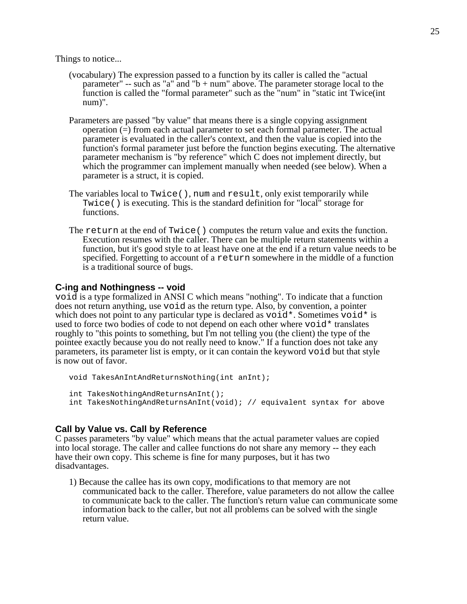Things to notice...

- (vocabulary) The expression passed to a function by its caller is called the "actual parameter" -- such as "a" and "b + num" above. The parameter storage local to the function is called the "formal parameter" such as the "num" in "static int Twice(int num)".
- Parameters are passed "by value" that means there is a single copying assignment operation (=) from each actual parameter to set each formal parameter. The actual parameter is evaluated in the caller's context, and then the value is copied into the function's formal parameter just before the function begins executing. The alternative parameter mechanism is "by reference" which C does not implement directly, but which the programmer can implement manually when needed (see below). When a parameter is a struct, it is copied.
- The variables local to Twice(), num and result, only exist temporarily while Twice() is executing. This is the standard definition for "local" storage for functions.
- The return at the end of Twice() computes the return value and exits the function. Execution resumes with the caller. There can be multiple return statements within a function, but it's good style to at least have one at the end if a return value needs to be specified. Forgetting to account of a return somewhere in the middle of a function is a traditional source of bugs.

# **C-ing and Nothingness -- void**

void is a type formalized in ANSI C which means "nothing". To indicate that a function does not return anything, use void as the return type. Also, by convention, a pointer which does not point to any particular type is declared as  $\text{void}^*$ . Sometimes  $\text{void}^*$  is used to force two bodies of code to not depend on each other where  $\text{void}^*$  translates roughly to "this points to something, but I'm not telling you (the client) the type of the pointee exactly because you do not really need to know." If a function does not take any parameters, its parameter list is empty, or it can contain the keyword void but that style is now out of favor.

```
void TakesAnIntAndReturnsNothing(int anInt);
int TakesNothingAndReturnsAnInt();
int TakesNothingAndReturnsAnInt(void); // equivalent syntax for above
```
# **Call by Value vs. Call by Reference**

C passes parameters "by value" which means that the actual parameter values are copied into local storage. The caller and callee functions do not share any memory -- they each have their own copy. This scheme is fine for many purposes, but it has two disadvantages.

1) Because the callee has its own copy, modifications to that memory are not communicated back to the caller. Therefore, value parameters do not allow the callee to communicate back to the caller. The function's return value can communicate some information back to the caller, but not all problems can be solved with the single return value.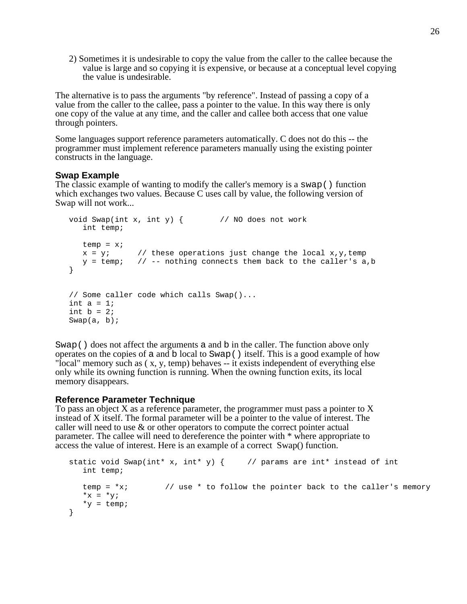2) Sometimes it is undesirable to copy the value from the caller to the callee because the value is large and so copying it is expensive, or because at a conceptual level copying the value is undesirable.

The alternative is to pass the arguments "by reference". Instead of passing a copy of a value from the caller to the callee, pass a pointer to the value. In this way there is only one copy of the value at any time, and the caller and callee both access that one value through pointers.

Some languages support reference parameters automatically. C does not do this -- the programmer must implement reference parameters manually using the existing pointer constructs in the language.

# **Swap Example**

The classic example of wanting to modify the caller's memory is a swap() function which exchanges two values. Because C uses call by value, the following version of Swap will not work...

```
void Swap(int x, int y) \{ // NO does not work
  int temp;
  temp = x;x = y; // these operations just change the local x, y, temp
   y = temp; // -- nothing connects them back to the caller's a,b
}
// Some caller code which calls Swap()...
int a = 1;
int b = 2iSwap(a, b);
```
Swap() does not affect the arguments a and b in the caller. The function above only operates on the copies of a and b local to Swap() itself. This is a good example of how "local" memory such as ( x, y, temp) behaves -- it exists independent of everything else only while its owning function is running. When the owning function exits, its local memory disappears.

# **Reference Parameter Technique**

To pass an object X as a reference parameter, the programmer must pass a pointer to X instead of X itself. The formal parameter will be a pointer to the value of interest. The caller will need to use & or other operators to compute the correct pointer actual parameter. The callee will need to dereference the pointer with \* where appropriate to access the value of interest. Here is an example of a correct Swap() function.

```
static void Swap(int* x, int* y) { // params are int* instead of int
  int temp;
  temp = *x; // use * to follow the pointer back to the caller's memory
  *_{X} = *_{Y};
  *y = temp;
}
```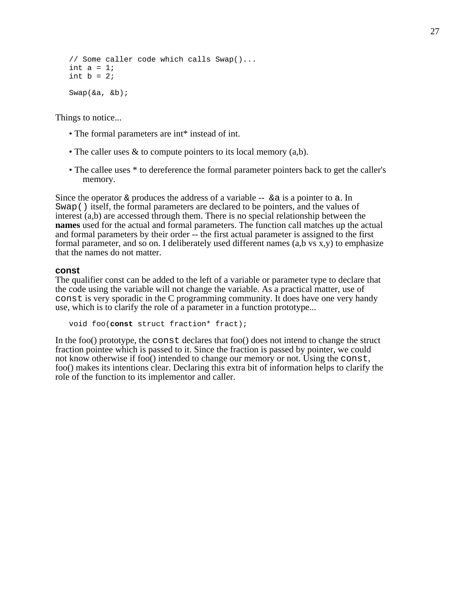```
// Some caller code which calls Swap()...
int a = 1;
int b = 2iSwap(&a, &b);
```
Things to notice...

- The formal parameters are int\* instead of int.
- The caller uses  $\&$  to compute pointers to its local memory (a,b).
- The callee uses  $*$  to dereference the formal parameter pointers back to get the caller's memory.

Since the operator  $\&$  produces the address of a variable  $\&$  a is a pointer to a. In Swap() itself, the formal parameters are declared to be pointers, and the values of interest (a,b) are accessed through them. There is no special relationship between the **names** used for the actual and formal parameters. The function call matches up the actual and formal parameters by their order -- the first actual parameter is assigned to the first formal parameter, and so on. I deliberately used different names  $(a,b \text{ vs } x,y)$  to emphasize that the names do not matter.

#### **const**

The qualifier const can be added to the left of a variable or parameter type to declare that the code using the variable will not change the variable. As a practical matter, use of const is very sporadic in the C programming community. It does have one very handy use, which is to clarify the role of a parameter in a function prototype...

```
void foo(const struct fraction* fract);
```
In the foo() prototype, the const declares that foo() does not intend to change the struct fraction pointee which is passed to it. Since the fraction is passed by pointer, we could not know otherwise if foo() intended to change our memory or not. Using the const, foo() makes its intentions clear. Declaring this extra bit of information helps to clarify the role of the function to its implementor and caller.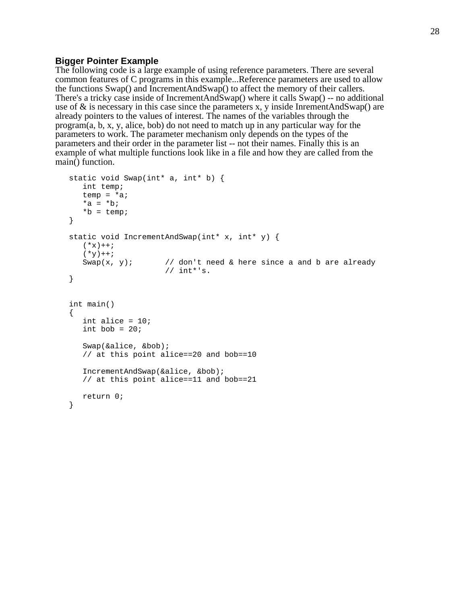### **Bigger Pointer Example**

The following code is a large example of using reference parameters. There are several common features of C programs in this example...Reference parameters are used to allow the functions Swap() and IncrementAndSwap() to affect the memory of their callers. There's a tricky case inside of IncrementAndSwap() where it calls Swap() -- no additional use of  $\&$  is necessary in this case since the parameters x, y inside InrementAndSwap() are already pointers to the values of interest. The names of the variables through the program(a, b, x, y, alice, bob) do not need to match up in any particular way for the parameters to work. The parameter mechanism only depends on the types of the parameters and their order in the parameter list -- not their names. Finally this is an example of what multiple functions look like in a file and how they are called from the main() function.

```
static void Swap(int* a, int* b) {
   int temp;
   temp = *ai*a = *b;*b = temp;
}
static void IncrementAndSwap(int* x, int* y) {
   (*x) + + ;
   ( \star_{\rm Y})++\mathop{;}\nolimitsSwap(x, y); // don't need & here since a and b are already
                      // int*'s.}
int main()
{
   int alice = 10;
   int bob = 20;
   Swap(&alice, &bob);
   // at this point alice==20 and bob==10
   IncrementAndSwap(&alice, &bob);
   // at this point alice==11 and bob==21
   return 0;
}
```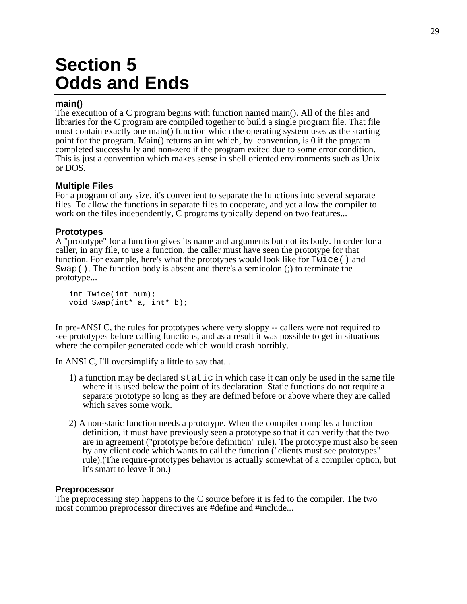# **Section 5 Odds and Ends**

# **main()**

The execution of a C program begins with function named main(). All of the files and libraries for the C program are compiled together to build a single program file. That file must contain exactly one main() function which the operating system uses as the starting point for the program. Main() returns an int which, by convention, is 0 if the program completed successfully and non-zero if the program exited due to some error condition. This is just a convention which makes sense in shell oriented environments such as Unix or DOS.

# **Multiple Files**

For a program of any size, it's convenient to separate the functions into several separate files. To allow the functions in separate files to cooperate, and yet allow the compiler to work on the files independently, C programs typically depend on two features...

# **Prototypes**

A "prototype" for a function gives its name and arguments but not its body. In order for a caller, in any file, to use a function, the caller must have seen the prototype for that function. For example, here's what the prototypes would look like for Twice() and Swap(). The function body is absent and there's a semicolon (;) to terminate the prototype...

```
int Twice(int num);
void Swap(int* a, int* b);
```
In pre-ANSI C, the rules for prototypes where very sloppy -- callers were not required to see prototypes before calling functions, and as a result it was possible to get in situations where the compiler generated code which would crash horribly.

In ANSI C, I'll oversimplify a little to say that...

- 1) a function may be declared static in which case it can only be used in the same file where it is used below the point of its declaration. Static functions do not require a separate prototype so long as they are defined before or above where they are called which saves some work.
- 2) A non-static function needs a prototype. When the compiler compiles a function definition, it must have previously seen a prototype so that it can verify that the two are in agreement ("prototype before definition" rule). The prototype must also be seen by any client code which wants to call the function ("clients must see prototypes" rule).(The require-prototypes behavior is actually somewhat of a compiler option, but it's smart to leave it on.)

# **Preprocessor**

The preprocessing step happens to the C source before it is fed to the compiler. The two most common preprocessor directives are #define and #include...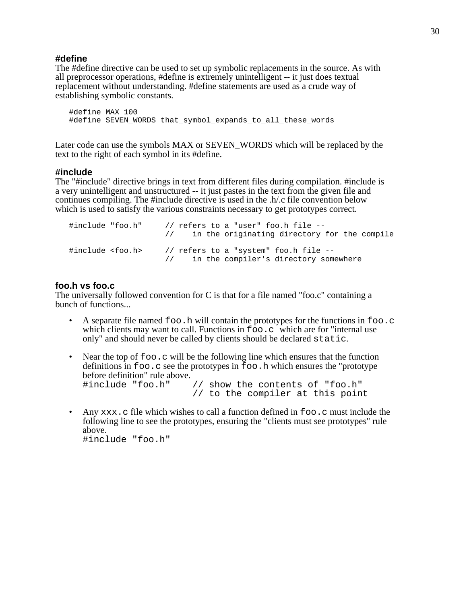#### **#define**

The #define directive can be used to set up symbolic replacements in the source. As with all preprocessor operations, #define is extremely unintelligent -- it just does textual replacement without understanding. #define statements are used as a crude way of establishing symbolic constants.

```
#define MAX 100
#define SEVEN_WORDS that_symbol_expands_to_all_these_words
```
Later code can use the symbols MAX or SEVEN\_WORDS which will be replaced by the text to the right of each symbol in its #define.

### **#include**

The "#include" directive brings in text from different files during compilation. #include is a very unintelligent and unstructured -- it just pastes in the text from the given file and continues compiling. The #include directive is used in the .h/.c file convention below which is used to satisfy the various constraints necessary to get prototypes correct.

```
#include "foo.h" // refers to a "user" foo.h file --
                   // in the originating directory for the compile
#include <foo.h> // refers to a "system" foo.h file --
                   // in the compiler's directory somewhere
```
# **foo.h vs foo.c**

The universally followed convention for C is that for a file named "foo.c" containing a bunch of functions...

- A separate file named  $f \circ \circ f$ , h will contain the prototypes for the functions in  $f \circ \circ f$ . which clients may want to call. Functions in  $f \circ \circ c$  which are for "internal use only" and should never be called by clients should be declared static.
- Near the top of  $f \circ \circ c$  will be the following line which ensures that the function definitions in foo.c see the prototypes in foo.h which ensures the "prototype before definition" rule above. #include "foo.h" // show the contents of "foo.h" // to the compiler at this point
- Any  $xxx$ , c file which wishes to call a function defined in  $f \circ \circ c$  must include the following line to see the prototypes, ensuring the "clients must see prototypes" rule above. #include "foo.h"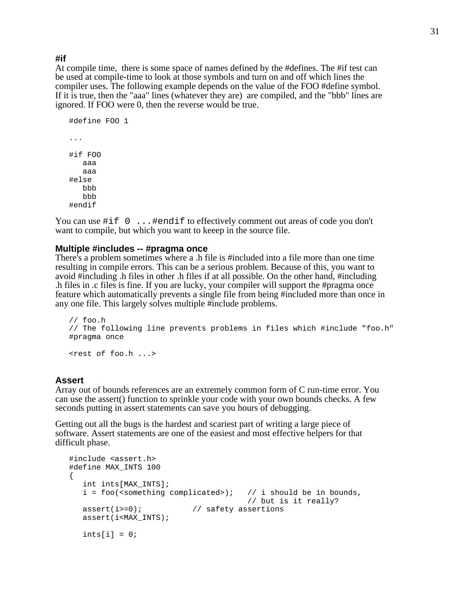#### **#if**

At compile time, there is some space of names defined by the #defines. The #if test can be used at compile-time to look at those symbols and turn on and off which lines the compiler uses. The following example depends on the value of the FOO #define symbol. If it is true, then the "aaa" lines (whatever they are) are compiled, and the "bbb" lines are ignored. If FOO were 0, then the reverse would be true.

```
#define FOO 1
...
#if FOO
   aaa
   aaa
#else
   hh
   bbb
#endif
```
You can use #if  $0 \ldots$ #endif to effectively comment out areas of code you don't want to compile, but which you want to keeep in the source file.

#### **Multiple #includes -- #pragma once**

There's a problem sometimes where a .h file is #included into a file more than one time resulting in compile errors. This can be a serious problem. Because of this, you want to avoid #including .h files in other .h files if at all possible. On the other hand, #including .h files in .c files is fine. If you are lucky, your compiler will support the #pragma once feature which automatically prevents a single file from being #included more than once in any one file. This largely solves multiple #include problems.

```
// foo.h
// The following line prevents problems in files which #include "foo.h"
#pragma once
```
<rest of foo.h ...>

#### **Assert**

Array out of bounds references are an extremely common form of C run-time error. You can use the assert() function to sprinkle your code with your own bounds checks. A few seconds putting in assert statements can save you hours of debugging.

Getting out all the bugs is the hardest and scariest part of writing a large piece of software. Assert statements are one of the easiest and most effective helpers for that difficult phase.

```
#include <assert.h>
#define MAX_INTS 100
{
  int ints[MAX_INTS];
  i = foo (<something complicated>); // i should be in bounds,
                                    // but is it really?
  assert(i>=0); // safety assertions
  assert(i<MAX_INTS);
  ints[i] = 0;
```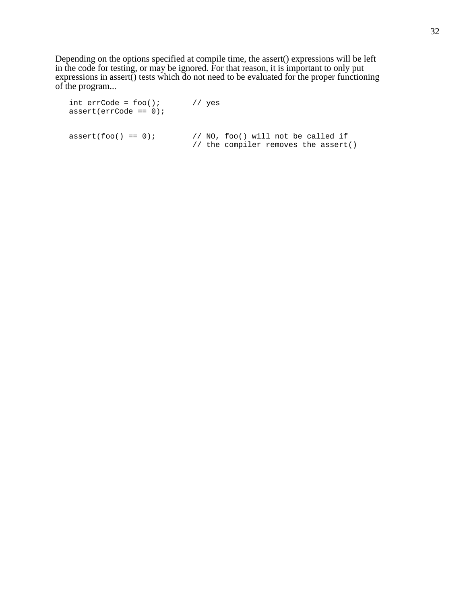Depending on the options specified at compile time, the assert() expressions will be left in the code for testing, or may be ignored. For that reason, it is important to only put expressions in assert() tests which do not need to be evaluated for the proper functioning of the program...

int  $er\text{Code} = \text{foo}$  ); // yes assert(errCode == 0);  $assert(foo() == 0);$  // NO, foo() will not be called if // the compiler removes the assert()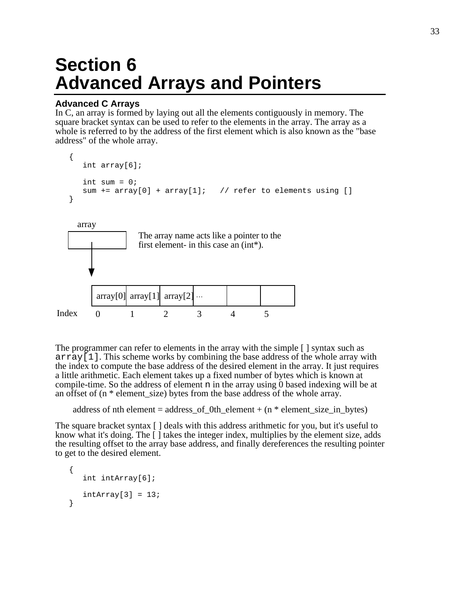# **Section 6 Advanced Arrays and Pointers**

# **Advanced C Arrays**

In C, an array is formed by laying out all the elements contiguously in memory. The square bracket syntax can be used to refer to the elements in the array. The array as a whole is referred to by the address of the first element which is also known as the "base address" of the whole array.

```
{
      int array[6];
      int sum = 0;
      sum += array[0] + array[1]; // refer to elements using []
   }
         0 1 2 3 4 5
    array 
Index
         array[0] \arctan[1] array[2]
                  The array name acts like a pointer to the 
                  first element- in this case an (int*).
```
The programmer can refer to elements in the array with the simple [ ] syntax such as  $\arctan{1}$ . This scheme works by combining the base address of the whole array with the index to compute the base address of the desired element in the array. It just requires a little arithmetic. Each element takes up a fixed number of bytes which is known at compile-time. So the address of element n in the array using 0 based indexing will be at an offset of (n \* element\_size) bytes from the base address of the whole array.

address of nth element = address\_of\_0th\_element +  $(n * element_size_in_b)$ 

The square bracket syntax  $\lceil \cdot \rceil$  deals with this address arithmetic for you, but it's useful to know what it's doing. The [ ] takes the integer index, multiplies by the element size, adds the resulting offset to the array base address, and finally dereferences the resulting pointer to get to the desired element.

```
{
   int intArray[6];
   intArray[3] = 13;}
```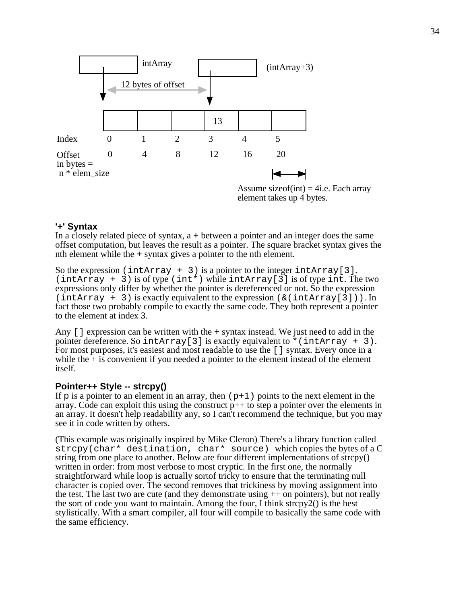

Assume size of  $(int) = 4$ i.e. Each array element takes up 4 bytes.

# **'+' Syntax**

In a closely related piece of syntax, a + between a pointer and an integer does the same offset computation, but leaves the result as a pointer. The square bracket syntax gives the nth element while the + syntax gives a pointer to the nth element.

So the expression (intArray + 3) is a pointer to the integer intArray [3].  $(intArray + 3)$  is of type  $(int*)$  while  $intArray[3]$  is of type int. The two expressions only differ by whether the pointer is dereferenced or not. So the expression  $(intArray + 3)$  is exactly equivalent to the expression  $(\& (intArray[3]))$ . In fact those two probably compile to exactly the same code. They both represent a pointer to the element at index 3.

Any [] expression can be written with the + syntax instead. We just need to add in the pointer dereference. So intArray [3] is exactly equivalent to  $*(intArray + 3)$ . For most purposes, it's easiest and most readable to use the [] syntax. Every once in a while the  $+$  is convenient if you needed a pointer to the element instead of the element itself.

# **Pointer++ Style -- strcpy()**

If p is a pointer to an element in an array, then  $(p+1)$  points to the next element in the array. Code can exploit this using the construct p++ to step a pointer over the elements in an array. It doesn't help readability any, so I can't recommend the technique, but you may see it in code written by others.

(This example was originally inspired by Mike Cleron) There's a library function called strcpy(char\* destination, char\* source) which copies the bytes of a C string from one place to another. Below are four different implementations of strcpy() written in order: from most verbose to most cryptic. In the first one, the normally straightforward while loop is actually sortof tricky to ensure that the terminating null character is copied over. The second removes that trickiness by moving assignment into the test. The last two are cute (and they demonstrate using ++ on pointers), but not really the sort of code you want to maintain. Among the four, I think strcpy2() is the best stylistically. With a smart compiler, all four will compile to basically the same code with the same efficiency.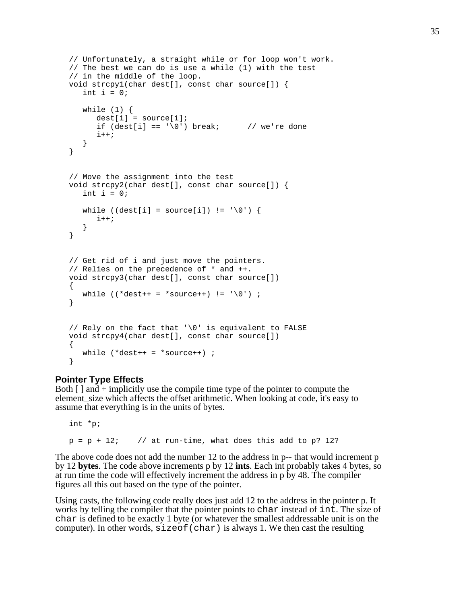```
// Unfortunately, a straight while or for loop won't work.
// The best we can do is use a while (1) with the test
// in the middle of the loop.
void strcpy1(char dest[], const char source[]) {
   int i = 0;
   while (1) {
     dest[i] = source[i];if (det[i] == '\\0') break; // we're done
      i++;}
}
// Move the assignment into the test
void strcpy2(char dest[], const char source[]) {
   int i = 0;
   while ((dest[i] = source[i]) != '\0') {
      i++;}
}
// Get rid of i and just move the pointers.
// Relies on the precedence of * and ++.
void strcpy3(char dest[], const char source[])
{
  while ((*dest++ = *source++) != '\\0') ;
}
// Rely on the fact that '\0' is equivalent to FALSE
void strcpy4(char dest[], const char source[])
{
  while (*dest++ = *source++) ;
}
```
# **Pointer Type Effects**

Both  $\lceil \cdot \rceil$  and  $+$  implicitly use the compile time type of the pointer to compute the element\_size which affects the offset arithmetic. When looking at code, it's easy to assume that everything is in the units of bytes.

```
int *p;
p = p + 12; // at run-time, what does this add to p? 12?
```
The above code does not add the number 12 to the address in p-- that would increment p by 12 **bytes**. The code above increments p by 12 **ints**. Each int probably takes 4 bytes, so at run time the code will effectively increment the address in p by 48. The compiler figures all this out based on the type of the pointer.

Using casts, the following code really does just add 12 to the address in the pointer p. It works by telling the compiler that the pointer points to char instead of int. The size of char is defined to be exactly 1 byte (or whatever the smallest addressable unit is on the computer). In other words, sizeof(char) is always 1. We then cast the resulting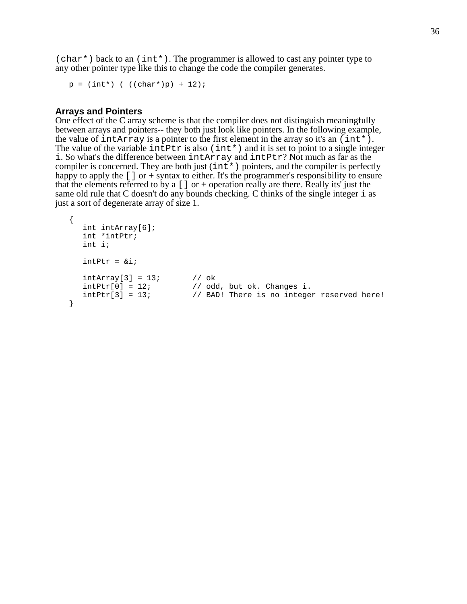$(char<sup>*</sup>)$  back to an  $(int<sup>*</sup>)$ . The programmer is allowed to cast any pointer type to any other pointer type like this to change the code the compiler generates.

```
p = (int*) ( ((char*)p) + 12);
```
#### **Arrays and Pointers**

One effect of the C array scheme is that the compiler does not distinguish meaningfully between arrays and pointers-- they both just look like pointers. In the following example, the value of intarray is a pointer to the first element in the array so it's an  $(int \star ).$ The value of the variable interest is also (int\*) and it is set to point to a single integer i. So what's the difference between intArray and intPtr? Not much as far as the compiler is concerned. They are both just (int\*) pointers, and the compiler is perfectly happy to apply the [] or + syntax to either. It's the programmer's responsibility to ensure that the elements referred to by a  $\lceil \cdot \rceil$  or + operation really are there. Really its' just the same old rule that C doesn't do any bounds checking. C thinks of the single integer i as just a sort of degenerate array of size 1.

```
{
   int intArray[6];
   int *intPtr;
   int i;
   intPtr = 6i;intArray[3] = 13; // ok
   intPtr[0] = 12; // odd, but ok. Changes i.<br>intPtr[3] = 13; // BAD! There is no integer// BAD! There is no integer reserved here!
}
```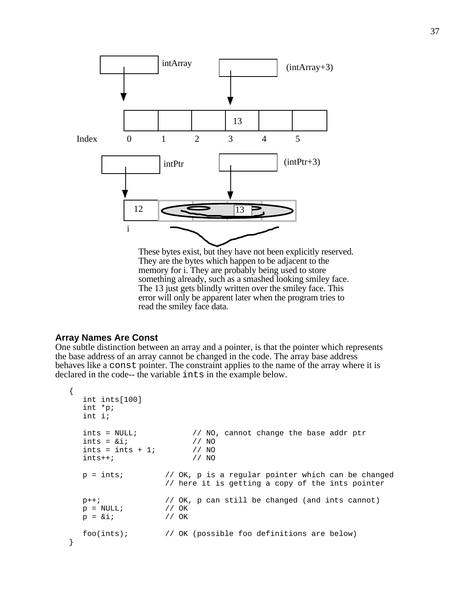

These bytes exist, but they have not been explicitly reserved. They are the bytes which happen to be adjacent to the memory for i. They are probably being used to store something already, such as a smashed looking smiley face. The 13 just gets blindly written over the smiley face. This error will only be apparent later when the program tries to read the smiley face data.

### **Array Names Are Const**

One subtle distinction between an array and a pointer, is that the pointer which represents the base address of an array cannot be changed in the code. The array base address behaves like a const pointer. The constraint applies to the name of the array where it is declared in the code-- the variable ints in the example below.

```
{
  int ints[100]
  int *p;
  int i;
  ints = NULL; // NO, cannot change the base addr ptr
  ints = 4i; 1/NO<br>ints = ints + 1; 1/NOints = ints + 1; // NO<br>ints++; // NOints++;p = ints; // OK, p is a regular pointer which can be changed
                   // here it is getting a copy of the ints pointer
  p++; // OK, p can still be changed (and ints cannot)
  p = NULL; // OK
  p = \&i; // OK
  foo(ints); // OK (possible foo definitions are below)
}
```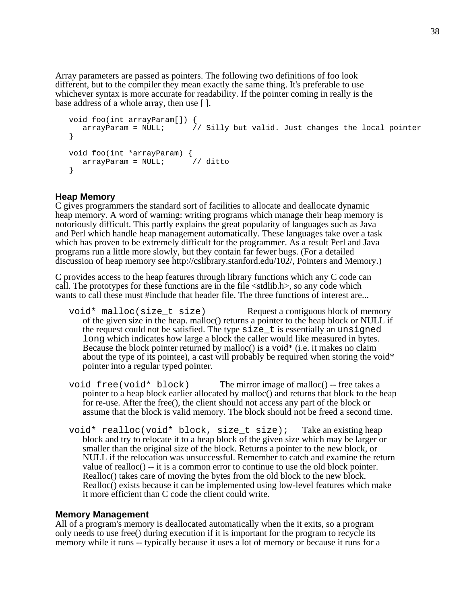Array parameters are passed as pointers. The following two definitions of foo look different, but to the compiler they mean exactly the same thing. It's preferable to use whichever syntax is more accurate for readability. If the pointer coming in really is the base address of a whole array, then use [].

```
void foo(int arrayParam[]) {
   arrayParam = NULL; \frac{1}{2} Silly but valid. Just changes the local pointer
}
void foo(int *arrayParam) {
  arrayParam = NULL; // ditto
}
```
# **Heap Memory**

C gives programmers the standard sort of facilities to allocate and deallocate dynamic heap memory. A word of warning: writing programs which manage their heap memory is notoriously difficult. This partly explains the great popularity of languages such as Java and Perl which handle heap management automatically. These languages take over a task which has proven to be extremely difficult for the programmer. As a result Perl and Java programs run a little more slowly, but they contain far fewer bugs. (For a detailed discussion of heap memory see http://cslibrary.stanford.edu/102/, Pointers and Memory.)

C provides access to the heap features through library functions which any C code can call. The prototypes for these functions are in the file <stdlib.h>, so any code which wants to call these must #include that header file. The three functions of interest are...

- void\* malloc(size t size) Request a contiguous block of memory of the given size in the heap. malloc() returns a pointer to the heap block or NULL if the request could not be satisfied. The type  $size$  t is essentially an unsigned long which indicates how large a block the caller would like measured in bytes. Because the block pointer returned by malloc() is a void\* (i.e. it makes no claim about the type of its pointee), a cast will probably be required when storing the void\* pointer into a regular typed pointer.
- void  $free(void * block)$  The mirror image of malloc() -- free takes a pointer to a heap block earlier allocated by malloc() and returns that block to the heap for re-use. After the free(), the client should not access any part of the block or assume that the block is valid memory. The block should not be freed a second time.
- void\* realloc(void\* block, size\_t size); Take an existing heap block and try to relocate it to a heap block of the given size which may be larger or smaller than the original size of the block. Returns a pointer to the new block, or NULL if the relocation was unsuccessful. Remember to catch and examine the return value of realloc() -- it is a common error to continue to use the old block pointer. Realloc() takes care of moving the bytes from the old block to the new block. Realloc() exists because it can be implemented using low-level features which make it more efficient than C code the client could write.

#### **Memory Management**

All of a program's memory is deallocated automatically when the it exits, so a program only needs to use free() during execution if it is important for the program to recycle its memory while it runs -- typically because it uses a lot of memory or because it runs for a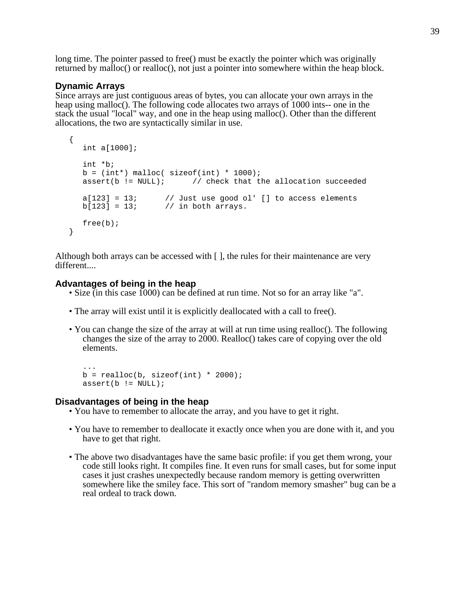long time. The pointer passed to free() must be exactly the pointer which was originally returned by malloc() or realloc(), not just a pointer into somewhere within the heap block.

### **Dynamic Arrays**

Since arrays are just contiguous areas of bytes, you can allocate your own arrays in the heap using malloc(). The following code allocates two arrays of 1000 ints-- one in the stack the usual "local" way, and one in the heap using malloc(). Other than the different allocations, the two are syntactically similar in use.

```
{
  int a[1000];
  int *b;
  b = (int*) malloc( sizeof(int) * 1000);
  assert(b != NULL); // check that the allocation succeeded
   a[123] = 13; \qquad // Just use good ol' [] to access elements
   b[123] = 13; // in both arrays.
  free(b);
}
```
Although both arrays can be accessed with  $\lceil \cdot \rceil$ , the rules for their maintenance are very different....

#### **Advantages of being in the heap**

- Size (in this case 1000) can be defined at run time. Not so for an array like "a".
- The array will exist until it is explicitly deallocated with a call to free().
- You can change the size of the array at will at run time using realloc(). The following changes the size of the array to 2000. Realloc() takes care of copying over the old elements.

```
...
b = realloc(b, sizeof(int) * 2000);assert(b != NULL);
```
### **Disadvantages of being in the heap**

- You have to remember to allocate the array, and you have to get it right.
- You have to remember to deallocate it exactly once when you are done with it, and you have to get that right.
- The above two disadvantages have the same basic profile: if you get them wrong, your code still looks right. It compiles fine. It even runs for small cases, but for some input cases it just crashes unexpectedly because random memory is getting overwritten somewhere like the smiley face. This sort of "random memory smasher" bug can be a real ordeal to track down.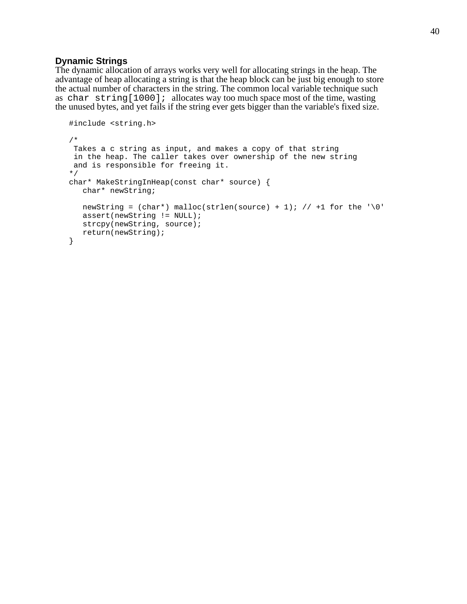### **Dynamic Strings**

The dynamic allocation of arrays works very well for allocating strings in the heap. The advantage of heap allocating a string is that the heap block can be just big enough to store the actual number of characters in the string. The common local variable technique such as char string[1000]; allocates way too much space most of the time, wasting the unused bytes, and yet fails if the string ever gets bigger than the variable's fixed size.

```
#include <string.h>
/*
 Takes a c string as input, and makes a copy of that string
 in the heap. The caller takes over ownership of the new string
 and is responsible for freeing it.
*/
char* MakeStringInHeap(const char* source) {
  char* newString;
  newString = (char*) malloc(strlen(source) + 1); // +1 for the '\0'
  assert(newString != NULL);
  strcpy(newString, source);
  return(newString);
}
```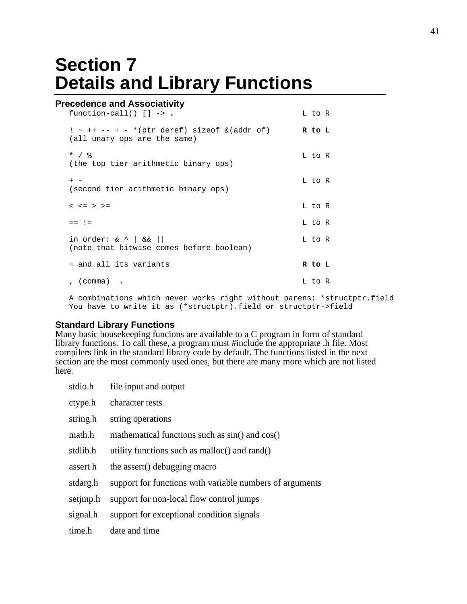# **Section 7 Details and Library Functions**

# **Precedence and Associativity**

| function-call() $[] \rightarrow .$                                                   | L to R |  |
|--------------------------------------------------------------------------------------|--------|--|
| $! \sim ++ - - + - *$ (ptr deref) sizeof & (addr of)<br>(all unary ops are the same) | R to L |  |
| $*$ / $\frac{9}{6}$<br>(the top tier arithmetic binary ops)                          | L to R |  |
| $+$ $-$<br>(second tier arithmetic binary ops)                                       | L to R |  |
| $< z = > > =$                                                                        | L to R |  |
| $==$ ! $=$                                                                           | L to R |  |
| in order: $\& \wedge \& \& \wedge$<br>(note that bitwise comes before boolean)       | L to R |  |
| = and all its variants                                                               | R to L |  |
| , (comma) .                                                                          | L to R |  |

A combinations which never works right without parens: \*structptr.field You have to write it as (\*structptr).field or structptr->field

#### **Standard Library Functions**

Many basic housekeeping funcions are available to a C program in form of standard library functions. To call these, a program must #include the appropriate .h file. Most compilers link in the standard library code by default. The functions listed in the next section are the most commonly used ones, but there are many more which are not listed here.

| stdio.h  | file input and output                                    |
|----------|----------------------------------------------------------|
| ctype.h  | character tests                                          |
| string.h | string operations                                        |
| math.h   | mathematical functions such as sin() and cos()           |
| stdlib.h | utility functions such as malloc() and rand()            |
| assert.h | the assert() debugging macro                             |
| stdarg.h | support for functions with variable numbers of arguments |
| setimp.h | support for non-local flow control jumps                 |
| signal.h | support for exceptional condition signals                |
| time.h   | date and time                                            |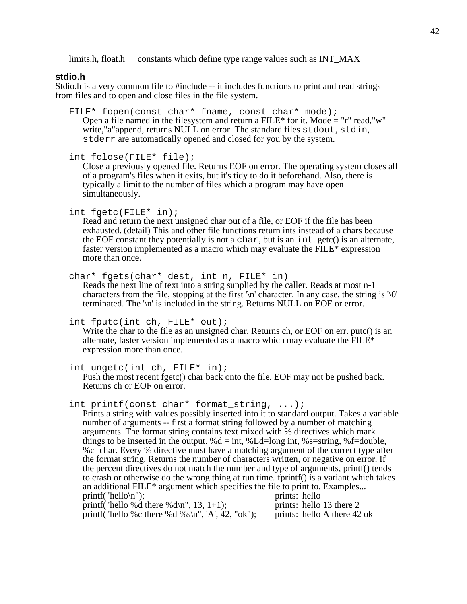limits.h, float.h constants which define type range values such as INT\_MAX

### **stdio.h**

Stdio.h is a very common file to #include -- it includes functions to print and read strings from files and to open and close files in the file system.

FILE\* fopen(const char\* fname, const char\* mode); Open a file named in the filesystem and return a  $FILE^*$  for it. Mode = "r" read, "w" write,"a"append, returns NULL on error. The standard files stdout, stdin, stderr are automatically opened and closed for you by the system.

int fclose(FILE\* file);

Close a previously opened file. Returns EOF on error. The operating system closes all of a program's files when it exits, but it's tidy to do it beforehand. Also, there is typically a limit to the number of files which a program may have open simultaneously.

int fgetc(FILE\* in);

Read and return the next unsigned char out of a file, or EOF if the file has been exhausted. (detail) This and other file functions return ints instead of a chars because the EOF constant they potentially is not a char, but is an int. getc() is an alternate, faster version implemented as a macro which may evaluate the FILE\* expression more than once.

char\* fgets(char\* dest, int n, FILE\* in)

Reads the next line of text into a string supplied by the caller. Reads at most n-1 characters from the file, stopping at the first  $\ln$  character. In any case, the string is  $\sqrt{0}$ ' terminated. The '\n' is included in the string. Returns NULL on EOF or error.

int fputc(int ch, FILE\* out);

Write the char to the file as an unsigned char. Returns ch, or EOF on err. putc() is an alternate, faster version implemented as a macro which may evaluate the FILE\* expression more than once.

int ungetc(int ch, FILE\* in);

Push the most recent fgetc() char back onto the file. EOF may not be pushed back. Returns ch or EOF on error.

int printf(const char\* format\_string, ...);

Prints a string with values possibly inserted into it to standard output. Takes a variable number of arguments -- first a format string followed by a number of matching arguments. The format string contains text mixed with % directives which mark things to be inserted in the output. % $d = int$ , %Ld=long int, %s=string, %f=double, %c=char. Every % directive must have a matching argument of the correct type after the format string. Returns the number of characters written, or negative on error. If the percent directives do not match the number and type of arguments, printf() tends to crash or otherwise do the wrong thing at run time. fprintf() is a variant which takes an additional FILE\* argument which specifies the file to print to. Examples... printf("hello\n"):  $\frac{1}{2}$  prints: hello printf("hello $\ln$ "); printf("hello %d there %d\n",  $13, 1+1$ ); prints: hello 13 there 2 printf("hello %c there %d %s\n", 'A', 42, "ok"); prints: hello A there 42 ok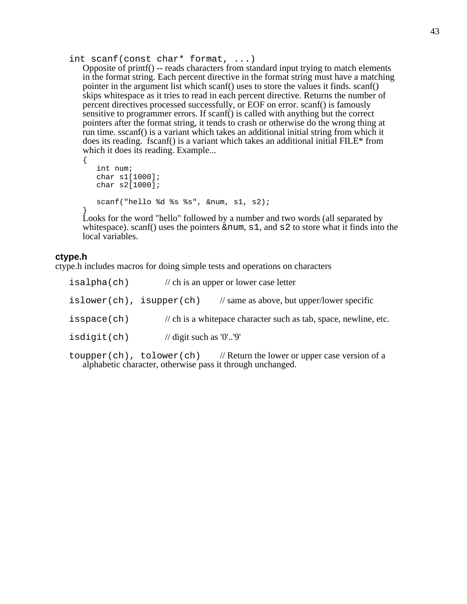int scanf(const char\* format, ...)

Opposite of printf() -- reads characters from standard input trying to match elements in the format string. Each percent directive in the format string must have a matching pointer in the argument list which scanf() uses to store the values it finds. scanf() skips whitespace as it tries to read in each percent directive. Returns the number of percent directives processed successfully, or EOF on error. scanf() is famously sensitive to programmer errors. If scanf() is called with anything but the correct pointers after the format string, it tends to crash or otherwise do the wrong thing at run time. sscanf() is a variant which takes an additional initial string from which it does its reading. fscanf() is a variant which takes an additional initial FILE\* from which it does its reading. Example...

```
{
   int num;
   char s1[1000];
   char s2[1000];
   scanf("hello %d %s %s", &num, s1, s2);
}
```
Looks for the word "hello" followed by a number and two words (all separated by whitespace). scanf() uses the pointers  $\#$ ,  $\le 1$ , and  $\le 2$  to store what it finds into the local variables.

### **ctype.h**

ctype.h includes macros for doing simple tests and operations on characters

| isalpha(ch) | $\frac{1}{2}$ ch is an upper or lower case letter                           |                                                       |  |
|-------------|-----------------------------------------------------------------------------|-------------------------------------------------------|--|
|             | $islower(ch)$ , $isupper(ch)$                                               | $\frac{1}{2}$ same as above, but upper/lower specific |  |
| isspace(ch) | $\mathcal{U}$ ch is a whitepace character such as tab, space, newline, etc. |                                                       |  |
| isdigit(ch) |                                                                             | // digit such as $'0'.'9'$                            |  |

toupper(ch), tolower(ch) // Return the lower or upper case version of a alphabetic character, otherwise pass it through unchanged.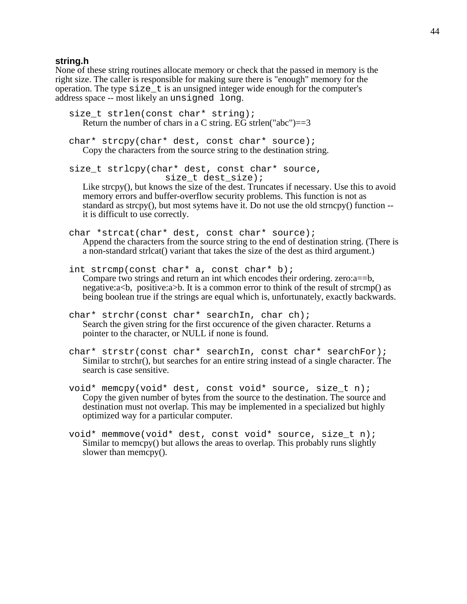#### **string.h**

None of these string routines allocate memory or check that the passed in memory is the right size. The caller is responsible for making sure there is "enough" memory for the operation. The type  $size \t t$  is an unsigned integer wide enough for the computer's address space -- most likely an unsigned long.

```
size t strlen(const char* string);
   Return the number of chars in a C string. EG strien("abc")=3char* strcpy(char* dest, const char* source);
   Copy the characters from the source string to the destination string.
size_t strlcpy(char* dest, const char* source,
                       size t dest size);
   Like strcpy(), but knows the size of the dest. Truncates if necessary. Use this to avoid
   memory errors and buffer-overflow security problems. This function is not as
   standard as strcpy(), but most sytems have it. Do not use the old strncpy() function --
   it is difficult to use correctly.
char *strcat(char* dest, const char* source);
   Append the characters from the source string to the end of destination string. (There is
   a non-standard strlcat() variant that takes the size of the dest as third argument.)
int strcmp(const char* a, const char* b);
   Compare two strings and return an int which encodes their ordering. zero:a==b,
   negative:a<br/>b., positive:a>b. It is a common error to think of the result of strcmp() as
   being boolean true if the strings are equal which is, unfortunately, exactly backwards.
char* strchr(const char* searchIn, char ch);
   Search the given string for the first occurence of the given character. Returns a
   pointer to the character, or NULL if none is found.
char* strstr(const char* searchIn, const char* searchFor);
   Similar to strchr(), but searches for an entire string instead of a single character. The
   search is case sensitive.
void* memcpy(void* dest, const void* source, size_t n);
   Copy the given number of bytes from the source to the destination. The source and
   destination must not overlap. This may be implemented in a specialized but highly
   optimized way for a particular computer.
```
void\* memmove(void\* dest, const void\* source, size\_t n); Similar to memcpy() but allows the areas to overlap. This probably runs slightly slower than memcpy().